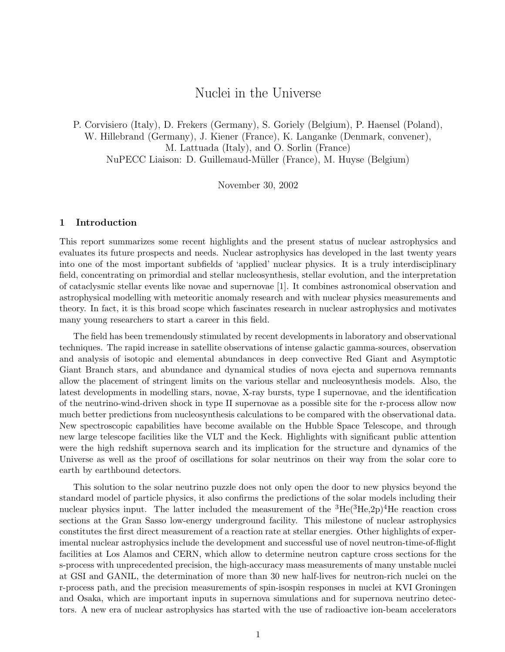# Nuclei in the Universe

P. Corvisiero (Italy), D. Frekers (Germany), S. Goriely (Belgium), P. Haensel (Poland), W. Hillebrand (Germany), J. Kiener (France), K. Langanke (Denmark, convener), M. Lattuada (Italy), and O. Sorlin (France) NuPECC Liaison: D. Guillemaud-Müller (France), M. Huyse (Belgium)

November 30, 2002

## 1 Introduction

This report summarizes some recent highlights and the present status of nuclear astrophysics and evaluates its future prospects and needs. Nuclear astrophysics has developed in the last twenty years into one of the most important subfields of 'applied' nuclear physics. It is a truly interdisciplinary field, concentrating on primordial and stellar nucleosynthesis, stellar evolution, and the interpretation of cataclysmic stellar events like novae and supernovae [1]. It combines astronomical observation and astrophysical modelling with meteoritic anomaly research and with nuclear physics measurements and theory. In fact, it is this broad scope which fascinates research in nuclear astrophysics and motivates many young researchers to start a career in this field.

The field has been tremendously stimulated by recent developments in laboratory and observational techniques. The rapid increase in satellite observations of intense galactic gamma-sources, observation and analysis of isotopic and elemental abundances in deep convective Red Giant and Asymptotic Giant Branch stars, and abundance and dynamical studies of nova ejecta and supernova remnants allow the placement of stringent limits on the various stellar and nucleosynthesis models. Also, the latest developments in modelling stars, novae, X-ray bursts, type I supernovae, and the identification of the neutrino-wind-driven shock in type II supernovae as a possible site for the r-process allow now much better predictions from nucleosynthesis calculations to be compared with the observational data. New spectroscopic capabilities have become available on the Hubble Space Telescope, and through new large telescope facilities like the VLT and the Keck. Highlights with significant public attention were the high redshift supernova search and its implication for the structure and dynamics of the Universe as well as the proof of oscillations for solar neutrinos on their way from the solar core to earth by earthbound detectors.

This solution to the solar neutrino puzzle does not only open the door to new physics beyond the standard model of particle physics, it also confirms the predictions of the solar models including their nuclear physics input. The latter included the measurement of the  ${}^{3}He({}^{3}He,2p){}^{4}He$  reaction cross sections at the Gran Sasso low-energy underground facility. This milestone of nuclear astrophysics constitutes the first direct measurement of a reaction rate at stellar energies. Other highlights of experimental nuclear astrophysics include the development and successful use of novel neutron-time-of-flight facilities at Los Alamos and CERN, which allow to determine neutron capture cross sections for the s-process with unprecedented precision, the high-accuracy mass measurements of many unstable nuclei at GSI and GANIL, the determination of more than 30 new half-lives for neutron-rich nuclei on the r-process path, and the precision measurements of spin-isospin responses in nuclei at KVI Groningen and Osaka, which are important inputs in supernova simulations and for supernova neutrino detectors. A new era of nuclear astrophysics has started with the use of radioactive ion-beam accelerators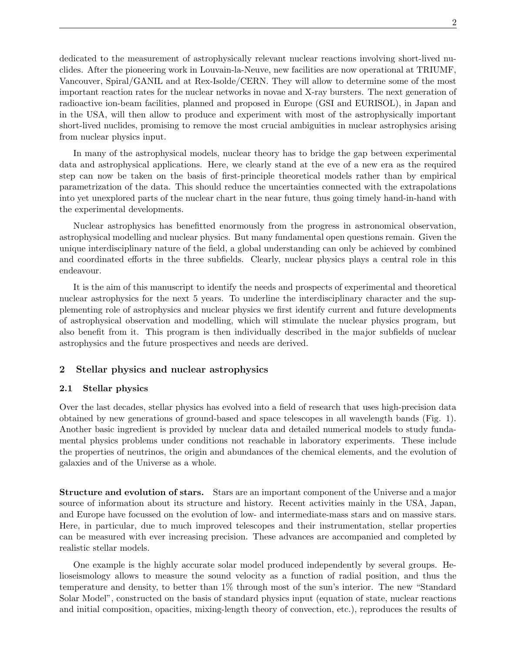dedicated to the measurement of astrophysically relevant nuclear reactions involving short-lived nuclides. After the pioneering work in Louvain-la-Neuve, new facilities are now operational at TRIUMF, Vancouver, Spiral/GANIL and at Rex-Isolde/CERN. They will allow to determine some of the most important reaction rates for the nuclear networks in novae and X-ray bursters. The next generation of radioactive ion-beam facilities, planned and proposed in Europe (GSI and EURISOL), in Japan and in the USA, will then allow to produce and experiment with most of the astrophysically important short-lived nuclides, promising to remove the most crucial ambiguities in nuclear astrophysics arising from nuclear physics input.

In many of the astrophysical models, nuclear theory has to bridge the gap between experimental data and astrophysical applications. Here, we clearly stand at the eve of a new era as the required step can now be taken on the basis of first-principle theoretical models rather than by empirical parametrization of the data. This should reduce the uncertainties connected with the extrapolations into yet unexplored parts of the nuclear chart in the near future, thus going timely hand-in-hand with the experimental developments.

Nuclear astrophysics has benefitted enormously from the progress in astronomical observation, astrophysical modelling and nuclear physics. But many fundamental open questions remain. Given the unique interdisciplinary nature of the field, a global understanding can only be achieved by combined and coordinated efforts in the three subfields. Clearly, nuclear physics plays a central role in this endeavour.

It is the aim of this manuscript to identify the needs and prospects of experimental and theoretical nuclear astrophysics for the next 5 years. To underline the interdisciplinary character and the supplementing role of astrophysics and nuclear physics we first identify current and future developments of astrophysical observation and modelling, which will stimulate the nuclear physics program, but also benefit from it. This program is then individually described in the major subfields of nuclear astrophysics and the future prospectives and needs are derived.

# 2 Stellar physics and nuclear astrophysics

# 2.1 Stellar physics

Over the last decades, stellar physics has evolved into a field of research that uses high-precision data obtained by new generations of ground-based and space telescopes in all wavelength bands (Fig. 1). Another basic ingredient is provided by nuclear data and detailed numerical models to study fundamental physics problems under conditions not reachable in laboratory experiments. These include the properties of neutrinos, the origin and abundances of the chemical elements, and the evolution of galaxies and of the Universe as a whole.

Structure and evolution of stars. Stars are an important component of the Universe and a major source of information about its structure and history. Recent activities mainly in the USA, Japan, and Europe have focussed on the evolution of low- and intermediate-mass stars and on massive stars. Here, in particular, due to much improved telescopes and their instrumentation, stellar properties can be measured with ever increasing precision. These advances are accompanied and completed by realistic stellar models.

One example is the highly accurate solar model produced independently by several groups. Helioseismology allows to measure the sound velocity as a function of radial position, and thus the temperature and density, to better than 1% through most of the sun's interior. The new "Standard Solar Model", constructed on the basis of standard physics input (equation of state, nuclear reactions and initial composition, opacities, mixing-length theory of convection, etc.), reproduces the results of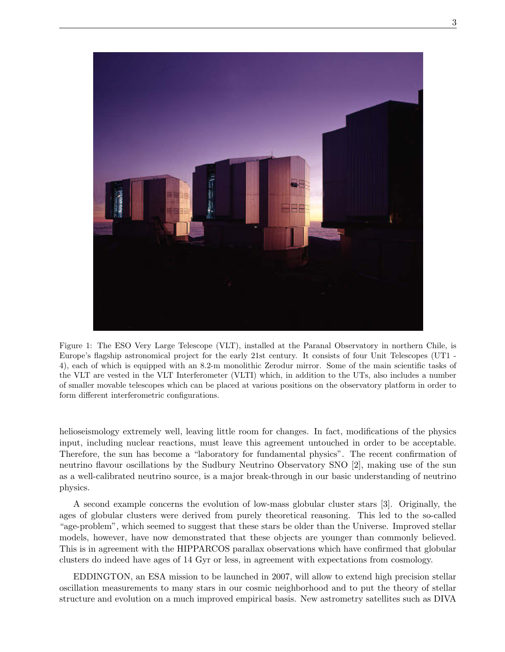

Figure 1: The ESO Very Large Telescope (VLT), installed at the Paranal Observatory in northern Chile, is Europe's flagship astronomical project for the early 21st century. It consists of four Unit Telescopes (UT1 - 4), each of which is equipped with an 8.2-m monolithic Zerodur mirror. Some of the main scientific tasks of the VLT are vested in the VLT Interferometer (VLTI) which, in addition to the UTs, also includes a number of smaller movable telescopes which can be placed at various positions on the observatory platform in order to form different interferometric configurations.

helioseismology extremely well, leaving little room for changes. In fact, modifications of the physics input, including nuclear reactions, must leave this agreement untouched in order to be acceptable. Therefore, the sun has become a "laboratory for fundamental physics". The recent confirmation of neutrino flavour oscillations by the Sudbury Neutrino Observatory SNO [2], making use of the sun as a well-calibrated neutrino source, is a major break-through in our basic understanding of neutrino physics.

A second example concerns the evolution of low-mass globular cluster stars [3]. Originally, the ages of globular clusters were derived from purely theoretical reasoning. This led to the so-called "age-problem", which seemed to suggest that these stars be older than the Universe. Improved stellar models, however, have now demonstrated that these objects are younger than commonly believed. This is in agreement with the HIPPARCOS parallax observations which have confirmed that globular clusters do indeed have ages of 14 Gyr or less, in agreement with expectations from cosmology.

EDDINGTON, an ESA mission to be launched in 2007, will allow to extend high precision stellar oscillation measurements to many stars in our cosmic neighborhood and to put the theory of stellar structure and evolution on a much improved empirical basis. New astrometry satellites such as DIVA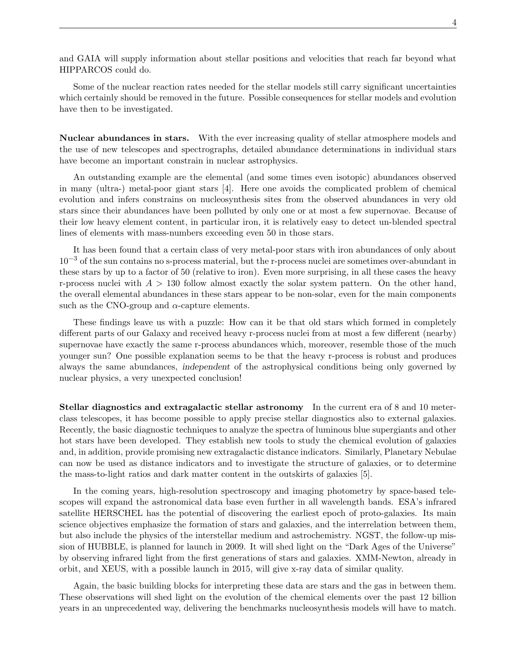and GAIA will supply information about stellar positions and velocities that reach far beyond what HIPPARCOS could do.

Some of the nuclear reaction rates needed for the stellar models still carry significant uncertainties which certainly should be removed in the future. Possible consequences for stellar models and evolution have then to be investigated.

Nuclear abundances in stars. With the ever increasing quality of stellar atmosphere models and the use of new telescopes and spectrographs, detailed abundance determinations in individual stars have become an important constrain in nuclear astrophysics.

An outstanding example are the elemental (and some times even isotopic) abundances observed in many (ultra-) metal-poor giant stars [4]. Here one avoids the complicated problem of chemical evolution and infers constrains on nucleosynthesis sites from the observed abundances in very old stars since their abundances have been polluted by only one or at most a few supernovae. Because of their low heavy element content, in particular iron, it is relatively easy to detect un-blended spectral lines of elements with mass-numbers exceeding even 50 in those stars.

It has been found that a certain class of very metal-poor stars with iron abundances of only about  $10^{-3}$  of the sun contains no s-process material, but the r-process nuclei are sometimes over-abundant in these stars by up to a factor of 50 (relative to iron). Even more surprising, in all these cases the heavy r-process nuclei with  $A > 130$  follow almost exactly the solar system pattern. On the other hand, the overall elemental abundances in these stars appear to be non-solar, even for the main components such as the CNO-group and  $\alpha$ -capture elements.

These findings leave us with a puzzle: How can it be that old stars which formed in completely different parts of our Galaxy and received heavy r-process nuclei from at most a few different (nearby) supernovae have exactly the same r-process abundances which, moreover, resemble those of the much younger sun? One possible explanation seems to be that the heavy r-process is robust and produces always the same abundances, independent of the astrophysical conditions being only governed by nuclear physics, a very unexpected conclusion!

Stellar diagnostics and extragalactic stellar astronomy In the current era of 8 and 10 meterclass telescopes, it has become possible to apply precise stellar diagnostics also to external galaxies. Recently, the basic diagnostic techniques to analyze the spectra of luminous blue supergiants and other hot stars have been developed. They establish new tools to study the chemical evolution of galaxies and, in addition, provide promising new extragalactic distance indicators. Similarly, Planetary Nebulae can now be used as distance indicators and to investigate the structure of galaxies, or to determine the mass-to-light ratios and dark matter content in the outskirts of galaxies [5].

In the coming years, high-resolution spectroscopy and imaging photometry by space-based telescopes will expand the astronomical data base even further in all wavelength bands. ESA's infrared satellite HERSCHEL has the potential of discovering the earliest epoch of proto-galaxies. Its main science objectives emphasize the formation of stars and galaxies, and the interrelation between them, but also include the physics of the interstellar medium and astrochemistry. NGST, the follow-up mission of HUBBLE, is planned for launch in 2009. It will shed light on the "Dark Ages of the Universe" by observing infrared light from the first generations of stars and galaxies. XMM-Newton, already in orbit, and XEUS, with a possible launch in 2015, will give x-ray data of similar quality.

Again, the basic building blocks for interpreting these data are stars and the gas in between them. These observations will shed light on the evolution of the chemical elements over the past 12 billion years in an unprecedented way, delivering the benchmarks nucleosynthesis models will have to match.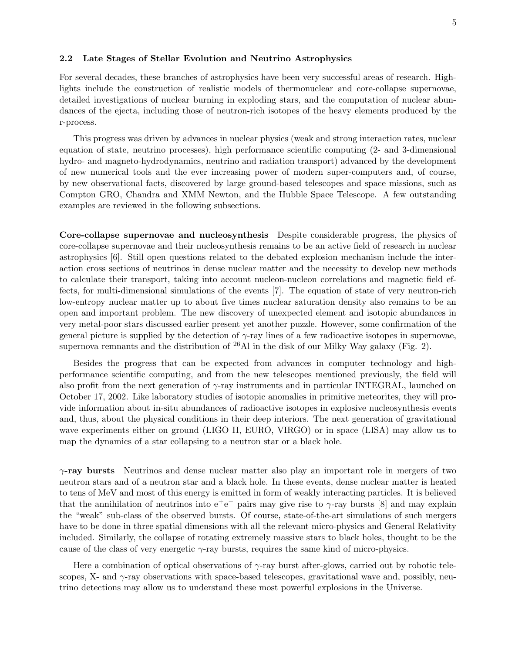### 2.2 Late Stages of Stellar Evolution and Neutrino Astrophysics

For several decades, these branches of astrophysics have been very successful areas of research. Highlights include the construction of realistic models of thermonuclear and core-collapse supernovae, detailed investigations of nuclear burning in exploding stars, and the computation of nuclear abundances of the ejecta, including those of neutron-rich isotopes of the heavy elements produced by the r-process.

This progress was driven by advances in nuclear physics (weak and strong interaction rates, nuclear equation of state, neutrino processes), high performance scientific computing (2- and 3-dimensional hydro- and magneto-hydrodynamics, neutrino and radiation transport) advanced by the development of new numerical tools and the ever increasing power of modern super-computers and, of course, by new observational facts, discovered by large ground-based telescopes and space missions, such as Compton GRO, Chandra and XMM Newton, and the Hubble Space Telescope. A few outstanding examples are reviewed in the following subsections.

Core-collapse supernovae and nucleosynthesis Despite considerable progress, the physics of core-collapse supernovae and their nucleosynthesis remains to be an active field of research in nuclear astrophysics [6]. Still open questions related to the debated explosion mechanism include the interaction cross sections of neutrinos in dense nuclear matter and the necessity to develop new methods to calculate their transport, taking into account nucleon-nucleon correlations and magnetic field effects, for multi-dimensional simulations of the events [7]. The equation of state of very neutron-rich low-entropy nuclear matter up to about five times nuclear saturation density also remains to be an open and important problem. The new discovery of unexpected element and isotopic abundances in very metal-poor stars discussed earlier present yet another puzzle. However, some confirmation of the general picture is supplied by the detection of  $\gamma$ -ray lines of a few radioactive isotopes in supernovae, supernova remnants and the distribution of  $^{26}$ Al in the disk of our Milky Way galaxy (Fig. 2).

Besides the progress that can be expected from advances in computer technology and highperformance scientific computing, and from the new telescopes mentioned previously, the field will also profit from the next generation of  $\gamma$ -ray instruments and in particular INTEGRAL, launched on October 17, 2002. Like laboratory studies of isotopic anomalies in primitive meteorites, they will provide information about in-situ abundances of radioactive isotopes in explosive nucleosynthesis events and, thus, about the physical conditions in their deep interiors. The next generation of gravitational wave experiments either on ground (LIGO II, EURO, VIRGO) or in space (LISA) may allow us to map the dynamics of a star collapsing to a neutron star or a black hole.

 $\gamma$ -ray bursts Neutrinos and dense nuclear matter also play an important role in mergers of two neutron stars and of a neutron star and a black hole. In these events, dense nuclear matter is heated to tens of MeV and most of this energy is emitted in form of weakly interacting particles. It is believed that the annihilation of neutrinos into  $e^+e^-$  pairs may give rise to  $\gamma$ -ray bursts [8] and may explain the "weak" sub-class of the observed bursts. Of course, state-of-the-art simulations of such mergers have to be done in three spatial dimensions with all the relevant micro-physics and General Relativity included. Similarly, the collapse of rotating extremely massive stars to black holes, thought to be the cause of the class of very energetic  $\gamma$ -ray bursts, requires the same kind of micro-physics.

Here a combination of optical observations of  $\gamma$ -ray burst after-glows, carried out by robotic telescopes, X- and  $\gamma$ -ray observations with space-based telescopes, gravitational wave and, possibly, neutrino detections may allow us to understand these most powerful explosions in the Universe.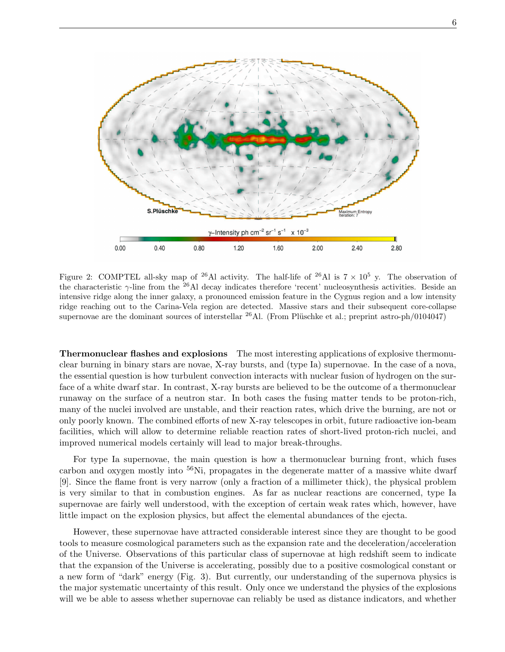

Figure 2: COMPTEL all-sky map of <sup>26</sup>Al activity. The half-life of <sup>26</sup>Al is  $7 \times 10^5$  y. The observation of the characteristic  $\gamma$ -line from the <sup>26</sup>Al decay indicates therefore 'recent' nucleosynthesis activities. Beside an intensive ridge along the inner galaxy, a pronounced emission feature in the Cygnus region and a low intensity ridge reaching out to the Carina-Vela region are detected. Massive stars and their subsequent core-collapse supernovae are the dominant sources of interstellar  $^{26}$ Al. (From Plüschke et al.; preprint astro-ph/0104047)

Thermonuclear flashes and explosions The most interesting applications of explosive thermonuclear burning in binary stars are novae, X-ray bursts, and (type Ia) supernovae. In the case of a nova, the essential question is how turbulent convection interacts with nuclear fusion of hydrogen on the surface of a white dwarf star. In contrast, X-ray bursts are believed to be the outcome of a thermonuclear runaway on the surface of a neutron star. In both cases the fusing matter tends to be proton-rich, many of the nuclei involved are unstable, and their reaction rates, which drive the burning, are not or only poorly known. The combined efforts of new X-ray telescopes in orbit, future radioactive ion-beam facilities, which will allow to determine reliable reaction rates of short-lived proton-rich nuclei, and improved numerical models certainly will lead to major break-throughs.

For type Ia supernovae, the main question is how a thermonuclear burning front, which fuses carbon and oxygen mostly into <sup>56</sup>Ni, propagates in the degenerate matter of a massive white dwarf [9]. Since the flame front is very narrow (only a fraction of a millimeter thick), the physical problem is very similar to that in combustion engines. As far as nuclear reactions are concerned, type Ia supernovae are fairly well understood, with the exception of certain weak rates which, however, have little impact on the explosion physics, but affect the elemental abundances of the ejecta.

However, these supernovae have attracted considerable interest since they are thought to be good tools to measure cosmological parameters such as the expansion rate and the deceleration/acceleration of the Universe. Observations of this particular class of supernovae at high redshift seem to indicate that the expansion of the Universe is accelerating, possibly due to a positive cosmological constant or a new form of "dark" energy (Fig. 3). But currently, our understanding of the supernova physics is the major systematic uncertainty of this result. Only once we understand the physics of the explosions will we be able to assess whether supernovae can reliably be used as distance indicators, and whether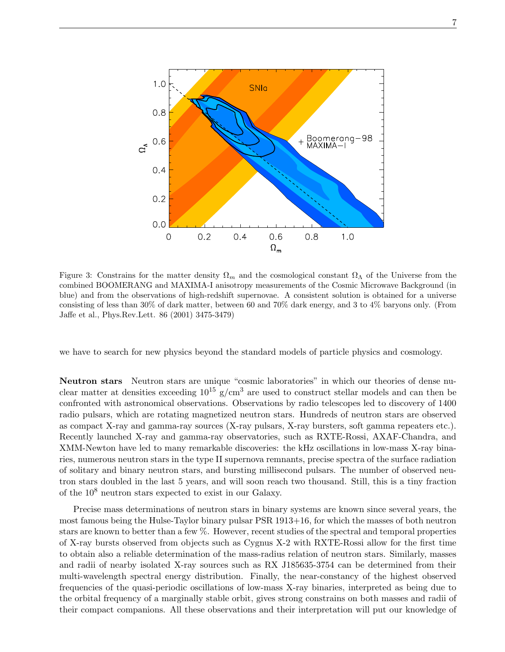

Figure 3: Constrains for the matter density  $\Omega_m$  and the cosmological constant  $\Omega_{\Lambda}$  of the Universe from the combined BOOMERANG and MAXIMA-I anisotropy measurements of the Cosmic Microwave Background (in blue) and from the observations of high-redshift supernovae. A consistent solution is obtained for a universe consisting of less than 30% of dark matter, between 60 and 70% dark energy, and 3 to 4% baryons only. (From Jaffe et al., Phys.Rev.Lett. 86 (2001) 3475-3479)

we have to search for new physics beyond the standard models of particle physics and cosmology.

Neutron stars Neutron stars are unique "cosmic laboratories" in which our theories of dense nuclear matter at densities exceeding  $10^{15}$  g/cm<sup>3</sup> are used to construct stellar models and can then be confronted with astronomical observations. Observations by radio telescopes led to discovery of 1400 radio pulsars, which are rotating magnetized neutron stars. Hundreds of neutron stars are observed as compact X-ray and gamma-ray sources (X-ray pulsars, X-ray bursters, soft gamma repeaters etc.). Recently launched X-ray and gamma-ray observatories, such as RXTE-Rossi, AXAF-Chandra, and XMM-Newton have led to many remarkable discoveries: the kHz oscillations in low-mass X-ray binaries, numerous neutron stars in the type II supernova remnants, precise spectra of the surface radiation of solitary and binary neutron stars, and bursting millisecond pulsars. The number of observed neutron stars doubled in the last 5 years, and will soon reach two thousand. Still, this is a tiny fraction of the 10<sup>8</sup> neutron stars expected to exist in our Galaxy.

Precise mass determinations of neutron stars in binary systems are known since several years, the most famous being the Hulse-Taylor binary pulsar PSR 1913+16, for which the masses of both neutron stars are known to better than a few %. However, recent studies of the spectral and temporal properties of X-ray bursts observed from objects such as Cygnus X-2 with RXTE-Rossi allow for the first time to obtain also a reliable determination of the mass-radius relation of neutron stars. Similarly, masses and radii of nearby isolated X-ray sources such as RX J185635-3754 can be determined from their multi-wavelength spectral energy distribution. Finally, the near-constancy of the highest observed frequencies of the quasi-periodic oscillations of low-mass X-ray binaries, interpreted as being due to the orbital frequency of a marginally stable orbit, gives strong constrains on both masses and radii of their compact companions. All these observations and their interpretation will put our knowledge of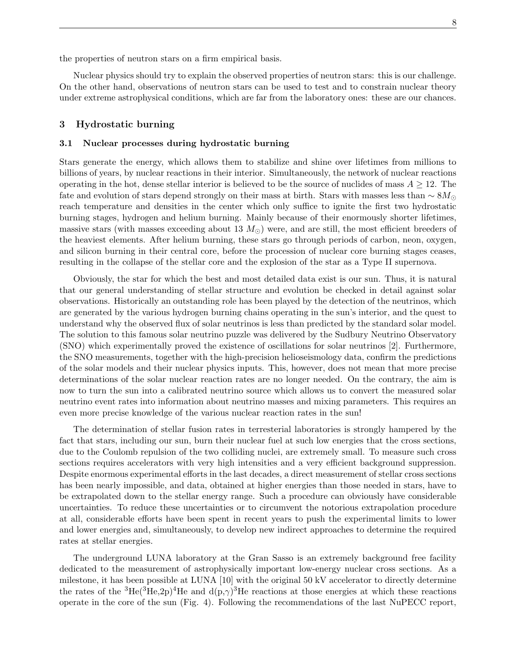the properties of neutron stars on a firm empirical basis.

Nuclear physics should try to explain the observed properties of neutron stars: this is our challenge. On the other hand, observations of neutron stars can be used to test and to constrain nuclear theory under extreme astrophysical conditions, which are far from the laboratory ones: these are our chances.

# 3 Hydrostatic burning

#### 3.1 Nuclear processes during hydrostatic burning

Stars generate the energy, which allows them to stabilize and shine over lifetimes from millions to billions of years, by nuclear reactions in their interior. Simultaneously, the network of nuclear reactions operating in the hot, dense stellar interior is believed to be the source of nuclides of mass  $A \geq 12$ . The fate and evolution of stars depend strongly on their mass at birth. Stars with masses less than  $\sim 8M_{\odot}$ reach temperature and densities in the center which only suffice to ignite the first two hydrostatic burning stages, hydrogen and helium burning. Mainly because of their enormously shorter lifetimes, massive stars (with masses exceeding about 13  $M_{\odot}$ ) were, and are still, the most efficient breeders of the heaviest elements. After helium burning, these stars go through periods of carbon, neon, oxygen, and silicon burning in their central core, before the procession of nuclear core burning stages ceases, resulting in the collapse of the stellar core and the explosion of the star as a Type II supernova.

Obviously, the star for which the best and most detailed data exist is our sun. Thus, it is natural that our general understanding of stellar structure and evolution be checked in detail against solar observations. Historically an outstanding role has been played by the detection of the neutrinos, which are generated by the various hydrogen burning chains operating in the sun's interior, and the quest to understand why the observed flux of solar neutrinos is less than predicted by the standard solar model. The solution to this famous solar neutrino puzzle was delivered by the Sudbury Neutrino Observatory (SNO) which experimentally proved the existence of oscillations for solar neutrinos [2]. Furthermore, the SNO measurements, together with the high-precision helioseismology data, confirm the predictions of the solar models and their nuclear physics inputs. This, however, does not mean that more precise determinations of the solar nuclear reaction rates are no longer needed. On the contrary, the aim is now to turn the sun into a calibrated neutrino source which allows us to convert the measured solar neutrino event rates into information about neutrino masses and mixing parameters. This requires an even more precise knowledge of the various nuclear reaction rates in the sun!

The determination of stellar fusion rates in terresterial laboratories is strongly hampered by the fact that stars, including our sun, burn their nuclear fuel at such low energies that the cross sections, due to the Coulomb repulsion of the two colliding nuclei, are extremely small. To measure such cross sections requires accelerators with very high intensities and a very efficient background suppression. Despite enormous experimental efforts in the last decades, a direct measurement of stellar cross sections has been nearly impossible, and data, obtained at higher energies than those needed in stars, have to be extrapolated down to the stellar energy range. Such a procedure can obviously have considerable uncertainties. To reduce these uncertainties or to circumvent the notorious extrapolation procedure at all, considerable efforts have been spent in recent years to push the experimental limits to lower and lower energies and, simultaneously, to develop new indirect approaches to determine the required rates at stellar energies.

The underground LUNA laboratory at the Gran Sasso is an extremely background free facility dedicated to the measurement of astrophysically important low-energy nuclear cross sections. As a milestone, it has been possible at LUNA [10] with the original 50 kV accelerator to directly determine the rates of the <sup>3</sup>He(<sup>3</sup>He,2p)<sup>4</sup>He and d(p, $\gamma$ )<sup>3</sup>He reactions at those energies at which these reactions operate in the core of the sun (Fig. 4). Following the recommendations of the last NuPECC report,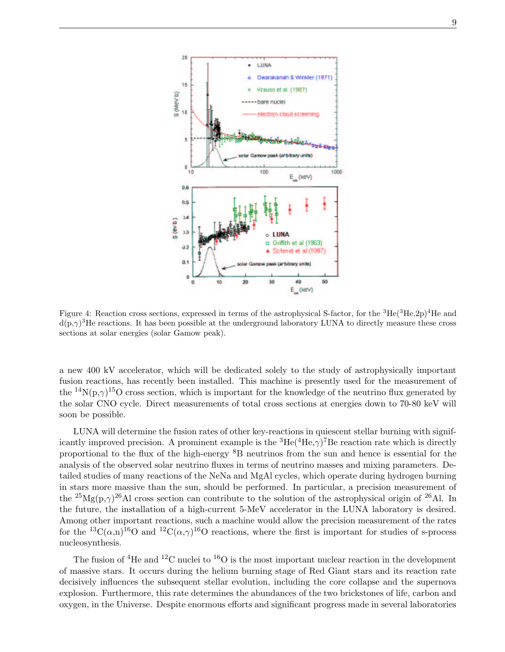

Figure 4: Reaction cross sections, expressed in terms of the astrophysical S-factor, for the  ${}^{3}He({}^{3}He,2p){}^{4}He$  and  $d(p,\gamma)^3$ He reactions. It has been possible at the underground laboratory LUNA to directly measure these cross sections at solar energies (solar Gamow peak).

a new 400 kV accelerator, which will be dedicated solely to the study of astrophysically important fusion reactions, has recently been installed. This machine is presently used for the measurement of the <sup>14</sup>N(p, $\gamma$ )<sup>15</sup>O cross section, which is important for the knowledge of the neutrino flux generated by the solar CNO cycle. Direct measurements of total cross sections at energies down to 70-80 keV will soon be possible.

LUNA will determine the fusion rates of other key-reactions in quiescent stellar burning with significantly improved precision. A prominent example is the  ${}^{3}He({}^{4}He,\gamma){}^{7}Be$  reaction rate which is directly proportional to the flux of the high-energy <sup>8</sup>B neutrinos from the sun and hence is essential for the analysis of the observed solar neutrino fluxes in terms of neutrino masses and mixing parameters. Detailed studies of many reactions of the NeNa and MgAl cycles, which operate during hydrogen burning in stars more massive than the sun, should be performed. In particular, a precision measurement of the <sup>25</sup>Mg(p, $\gamma$ )<sup>26</sup>Al cross section can contribute to the solution of the astrophysical origin of <sup>26</sup>Al. In the future, the installation of a high-current 5-MeV accelerator in the LUNA laboratory is desired. Among other important reactions, such a machine would allow the precision measurement of the rates for the <sup>13</sup>C( $\alpha$ ,n)<sup>16</sup>O and <sup>12</sup>C( $\alpha$ , $\gamma$ )<sup>16</sup>O reactions, where the first is important for studies of s-process nucleosynthesis.

The fusion of <sup>4</sup>He and <sup>12</sup>C nuclei to <sup>16</sup>O is the most important nuclear reaction in the development of massive stars. It occurs during the helium burning stage of Red Giant stars and its reaction rate decisively influences the subsequent stellar evolution, including the core collapse and the supernova explosion. Furthermore, this rate determines the abundances of the two brickstones of life, carbon and oxygen, in the Universe. Despite enormous efforts and significant progress made in several laboratories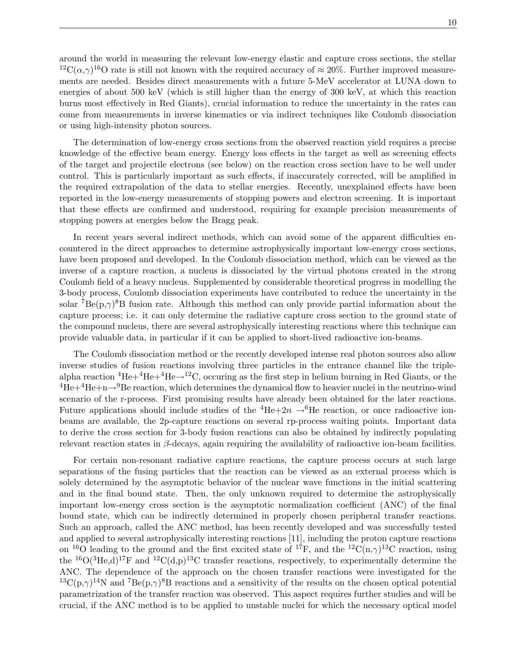around the world in measuring the relevant low-energy elastic and capture cross sections, the stellar <sup>12</sup>C( $(\alpha, \gamma)$ <sup>16</sup>O rate is still not known with the required accuracy of  $\approx 20\%$ . Further improved measurements are needed. Besides direct measurements with a future 5-MeV accelerator at LUNA down to energies of about 500 keV (which is still higher than the energy of 300 keV, at which this reaction burns most effectively in Red Giants), crucial information to reduce the uncertainty in the rates can come from measurements in inverse kinematics or via indirect techniques like Coulomb dissociation or using high-intensity photon sources.

The determination of low-energy cross sections from the observed reaction yield requires a precise knowledge of the effective beam energy. Energy loss effects in the target as well as screening effects of the target and projectile electrons (see below) on the reaction cross section have to be well under control. This is particularly important as such effects, if inaccurately corrected, will be amplified in the required extrapolation of the data to stellar energies. Recently, unexplained effects have been reported in the low-energy measurements of stopping powers and electron screening. It is important that these effects are confirmed and understood, requiring for example precision measurements of stopping powers at energies below the Bragg peak.

In recent years several indirect methods, which can avoid some of the apparent difficulties encountered in the direct approaches to determine astrophysically important low-energy cross sections, have been proposed and developed. In the Coulomb dissociation method, which can be viewed as the inverse of a capture reaction, a nucleus is dissociated by the virtual photons created in the strong Coulomb field of a heavy nucleus. Supplemented by considerable theoretical progress in modelling the 3-body process, Coulomb dissociation experiments have contributed to reduce the uncertainty in the solar <sup>7</sup>Be(p, $\gamma$ )<sup>8</sup>B fusion rate. Although this method can only provide partial information about the capture process; i.e. it can only determine the radiative capture cross section to the ground state of the compound nucleus, there are several astrophysically interesting reactions where this technique can provide valuable data, in particular if it can be applied to short-lived radioactive ion-beams.

The Coulomb dissociation method or the recently developed intense real photon sources also allow inverse studies of fusion reactions involving three particles in the entrance channel like the triplealpha reaction  ${}^{4}He+{}^{4}He+{}^{4}He \rightarrow {}^{12}C$ , occuring as the first step in helium burning in Red Giants, or the  ${}^{4}He+{}^{4}He+n\rightarrow{}^{9}Be$  reaction, which determines the dynamical flow to heavier nuclei in the neutrino-wind scenario of the r-process. First promising results have already been obtained for the later reactions. Future applications should include studies of the  ${}^{4}He+2n \rightarrow {}^{6}He$  reaction, or once radioactive ionbeams are available, the 2p-capture reactions on several rp-process waiting points. Important data to derive the cross section for 3-body fusion reactions can also be obtained by indirectly populating relevant reaction states in  $\beta$ -decays, again requiring the availability of radioactive ion-beam facilities.

For certain non-resonant radiative capture reactions, the capture process occurs at such large separations of the fusing particles that the reaction can be viewed as an external process which is solely determined by the asymptotic behavior of the nuclear wave functions in the initial scattering and in the final bound state. Then, the only unknown required to determine the astrophysically important low-energy cross section is the asymptotic normalization coefficient (ANC) of the final bound state, which can be indirectly determined in properly chosen peripheral transfer reactions. Such an approach, called the ANC method, has been recently developed and was successfully tested and applied to several astrophysically interesting reactions [11], including the proton capture reactions on <sup>16</sup>O leading to the ground and the first excited state of <sup>17</sup>F, and the <sup>12</sup>C(n, $\gamma$ )<sup>13</sup>C reaction, using the <sup>16</sup>O(<sup>3</sup>He,d)<sup>17</sup>F and <sup>12</sup>C(d,p)<sup>13</sup>C transfer reactions, respectively, to experimentally determine the ANC. The dependence of the approach on the chosen transfer reactions were investigated for the  ${}^{13}C(p,\gamma){}^{14}N$  and  ${}^{7}Be(p,\gamma){}^{8}B$  reactions and a sensitivity of the results on the chosen optical potential parametrization of the transfer reaction was observed. This aspect requires further studies and will be crucial, if the ANC method is to be applied to unstable nuclei for which the necessary optical model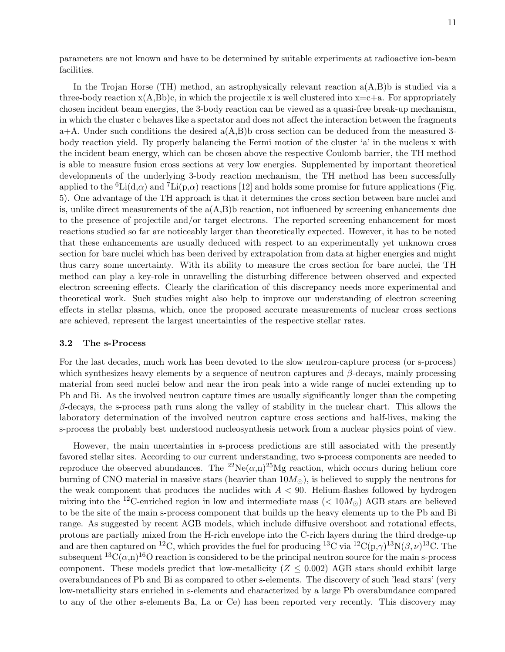parameters are not known and have to be determined by suitable experiments at radioactive ion-beam facilities.

In the Trojan Horse (TH) method, an astrophysically relevant reaction  $a(A,B)b$  is studied via a three-body reaction  $x(A,Bb)c$ , in which the projectile x is well clustered into  $x=c+a$ . For appropriately chosen incident beam energies, the 3-body reaction can be viewed as a quasi-free break-up mechanism, in which the cluster c behaves like a spectator and does not affect the interaction between the fragments  $a+A$ . Under such conditions the desired  $a(A,B)b$  cross section can be deduced from the measured 3body reaction yield. By properly balancing the Fermi motion of the cluster 'a' in the nucleus x with the incident beam energy, which can be chosen above the respective Coulomb barrier, the TH method is able to measure fusion cross sections at very low energies. Supplemented by important theoretical developments of the underlying 3-body reaction mechanism, the TH method has been successfully applied to the <sup>6</sup>Li(d, $\alpha$ ) and <sup>7</sup>Li(p, $\alpha$ ) reactions [12] and holds some promise for future applications (Fig. 5). One advantage of the TH approach is that it determines the cross section between bare nuclei and is, unlike direct measurements of the  $a(A,B)$  b reaction, not influenced by screening enhancements due to the presence of projectile and/or target electrons. The reported screening enhancement for most reactions studied so far are noticeably larger than theoretically expected. However, it has to be noted that these enhancements are usually deduced with respect to an experimentally yet unknown cross section for bare nuclei which has been derived by extrapolation from data at higher energies and might thus carry some uncertainty. With its ability to measure the cross section for bare nuclei, the TH method can play a key-role in unravelling the disturbing difference between observed and expected electron screening effects. Clearly the clarification of this discrepancy needs more experimental and theoretical work. Such studies might also help to improve our understanding of electron screening effects in stellar plasma, which, once the proposed accurate measurements of nuclear cross sections are achieved, represent the largest uncertainties of the respective stellar rates.

## 3.2 The s-Process

For the last decades, much work has been devoted to the slow neutron-capture process (or s-process) which synthesizes heavy elements by a sequence of neutron captures and  $\beta$ -decays, mainly processing material from seed nuclei below and near the iron peak into a wide range of nuclei extending up to Pb and Bi. As the involved neutron capture times are usually significantly longer than the competing  $\beta$ -decays, the s-process path runs along the valley of stability in the nuclear chart. This allows the laboratory determination of the involved neutron capture cross sections and half-lives, making the s-process the probably best understood nucleosynthesis network from a nuclear physics point of view.

However, the main uncertainties in s-process predictions are still associated with the presently favored stellar sites. According to our current understanding, two s-process components are needed to reproduce the observed abundances. The <sup>22</sup>Ne( $\alpha$ ,n)<sup>25</sup>Mg reaction, which occurs during helium core burning of CNO material in massive stars (heavier than  $10M_{\odot}$ ), is believed to supply the neutrons for the weak component that produces the nuclides with  $A < 90$ . Helium-flashes followed by hydrogen mixing into the <sup>12</sup>C-enriched region in low and intermediate mass ( $< 10M_{\odot}$ ) AGB stars are believed to be the site of the main s-process component that builds up the heavy elements up to the Pb and Bi range. As suggested by recent AGB models, which include diffusive overshoot and rotational effects, protons are partially mixed from the H-rich envelope into the C-rich layers during the third dredge-up and are then captured on <sup>12</sup>C, which provides the fuel for producing <sup>13</sup>C via <sup>12</sup>C(p, $\gamma$ )<sup>13</sup>N( $\beta$ ,  $\nu$ )<sup>13</sup>C. The subsequent  ${}^{13}C(\alpha,\n)_{0}{}^{16}O$  reaction is considered to be the principal neutron source for the main s-process component. These models predict that low-metallicity  $(Z \leq 0.002)$  AGB stars should exhibit large overabundances of Pb and Bi as compared to other s-elements. The discovery of such 'lead stars' (very low-metallicity stars enriched in s-elements and characterized by a large Pb overabundance compared to any of the other s-elements Ba, La or Ce) has been reported very recently. This discovery may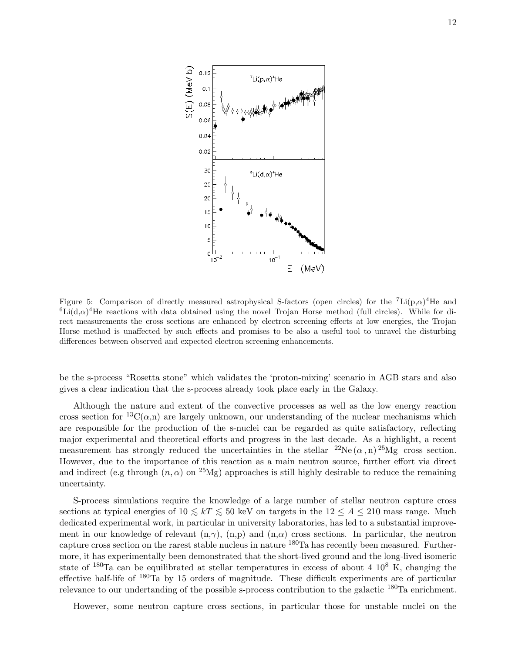

Figure 5: Comparison of directly measured astrophysical S-factors (open circles) for the  ${}^{7}\text{Li}(p,\alpha){}^{4}\text{He}$  and  ${}^{6}$ Li $(d,\alpha)$ <sup>4</sup>He reactions with data obtained using the novel Trojan Horse method (full circles). While for direct measurements the cross sections are enhanced by electron screening effects at low energies, the Trojan Horse method is unaffected by such effects and promises to be also a useful tool to unravel the disturbing differences between observed and expected electron screening enhancements.

be the s-process "Rosetta stone" which validates the 'proton-mixing' scenario in AGB stars and also gives a clear indication that the s-process already took place early in the Galaxy.

Although the nature and extent of the convective processes as well as the low energy reaction cross section for <sup>13</sup>C( $\alpha$ ,n) are largely unknown, our understanding of the nuclear mechanisms which are responsible for the production of the s-nuclei can be regarded as quite satisfactory, reflecting major experimental and theoretical efforts and progress in the last decade. As a highlight, a recent measurement has strongly reduced the uncertainties in the stellar  ${}^{22}Ne(\alpha, n) {}^{25}Mg$  cross section. However, due to the importance of this reaction as a main neutron source, further effort via direct and indirect (e.g through  $(n, \alpha)$  on <sup>25</sup>Mg) approaches is still highly desirable to reduce the remaining uncertainty.

S-process simulations require the knowledge of a large number of stellar neutron capture cross sections at typical energies of  $10 \leq kT \leq 50$  keV on targets in the  $12 \leq A \leq 210$  mass range. Much dedicated experimental work, in particular in university laboratories, has led to a substantial improvement in our knowledge of relevant  $(n, \gamma)$ ,  $(n, p)$  and  $(n, \alpha)$  cross sections. In particular, the neutron capture cross section on the rarest stable nucleus in nature <sup>180</sup>Ta has recently been measured. Furthermore, it has experimentally been demonstrated that the short-lived ground and the long-lived isomeric state of  $180$ Ta can be equilibrated at stellar temperatures in excess of about 4  $10^8$  K, changing the effective half-life of <sup>180</sup>Ta by 15 orders of magnitude. These difficult experiments are of particular relevance to our undertanding of the possible s-process contribution to the galactic <sup>180</sup>Ta enrichment.

However, some neutron capture cross sections, in particular those for unstable nuclei on the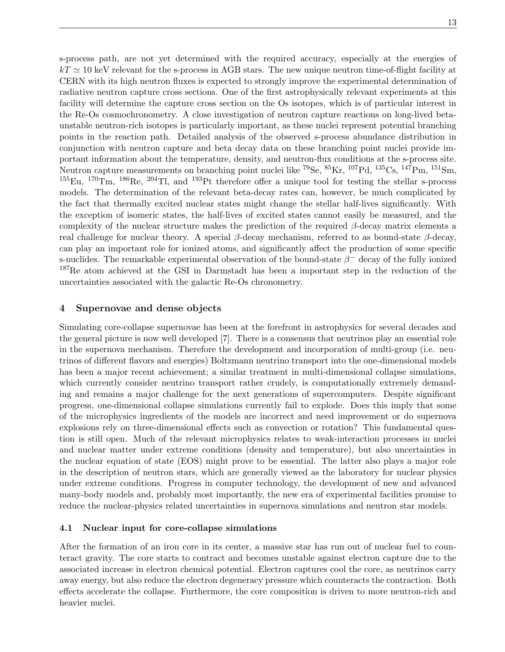s-process path, are not yet determined with the required accuracy, especially at the energies of  $kT \simeq 10$  keV relevant for the s-process in AGB stars. The new unique neutron time-of-flight facility at CERN with its high neutron fluxes is expected to strongly improve the experimental determination of radiative neutron capture cross sections. One of the first astrophysically relevant experiments at this facility will determine the capture cross section on the Os isotopes, which is of particular interest in the Re-Os cosmochronometry. A close investigation of neutron capture reactions on long-lived betaunstable neutron-rich isotopes is particularly important, as these nuclei represent potential branching points in the reaction path. Detailed analysis of the observed s-process abundance distribution in conjunction with neutron capture and beta decay data on these branching point nuclei provide important information about the temperature, density, and neutron-flux conditions at the s-process site. Neutron capture measurements on branching point nuclei like <sup>79</sup>Se, <sup>85</sup>Kr, <sup>107</sup>Pd, <sup>135</sup>Cs, <sup>147</sup>Pm, <sup>151</sup>Sm,  $^{155}$ Eu,  $^{170}$ Tm,  $^{186}$ Re,  $^{204}$ Tl, and  $^{193}$ Pt therefore offer a unique tool for testing the stellar s-process models. The determination of the relevant beta-decay rates can, however, be much complicated by the fact that thermally excited nuclear states might change the stellar half-lives significantly. With the exception of isomeric states, the half-lives of excited states cannot easily be measured, and the complexity of the nuclear structure makes the prediction of the required  $\beta$ -decay matrix elements a real challenge for nuclear theory. A special β-decay mechanism, referred to as bound-state β-decay, can play an important role for ionized atoms, and significantly affect the production of some specific s-nuclides. The remarkable experimental observation of the bound-state  $\beta^-$  decay of the fully ionized <sup>187</sup>Re atom achieved at the GSI in Darmstadt has been a important step in the reduction of the uncertainties associated with the galactic Re-Os chronometry.

# 4 Supernovae and dense objects

Simulating core-collapse supernovae has been at the forefront in astrophysics for several decades and the general picture is now well developed [7]. There is a consensus that neutrinos play an essential role in the supernova mechanism. Therefore the development and incorporation of multi-group (i.e. neutrinos of different flavors and energies) Boltzmann neutrino transport into the one-dimensional models has been a major recent achievement; a similar treatment in multi-dimensional collapse simulations, which currently consider neutrino transport rather crudely, is computationally extremely demanding and remains a major challenge for the next generations of supercomputers. Despite significant progress, one-dimensional collapse simulations currently fail to explode. Does this imply that some of the microphysics ingredients of the models are incorrect and need improvement or do supernova explosions rely on three-dimensional effects such as convection or rotation? This fundamental question is still open. Much of the relevant microphysics relates to weak-interaction processes in nuclei and nuclear matter under extreme conditions (density and temperature), but also uncertainties in the nuclear equation of state (EOS) might prove to be essential. The latter also plays a major role in the description of neutron stars, which are generally viewed as the laboratory for nuclear physics under extreme conditions. Progress in computer technology, the development of new and advanced many-body models and, probably most importantly, the new era of experimental facilities promise to reduce the nuclear-physics related uncertainties in supernova simulations and neutron star models.

# 4.1 Nuclear input for core-collapse simulations

After the formation of an iron core in its center, a massive star has run out of nuclear fuel to counteract gravity. The core starts to contract and becomes unstable against electron capture due to the associated increase in electron chemical potential. Electron captures cool the core, as neutrinos carry away energy, but also reduce the electron degeneracy pressure which counteracts the contraction. Both effects accelerate the collapse. Furthermore, the core composition is driven to more neutron-rich and heavier nuclei.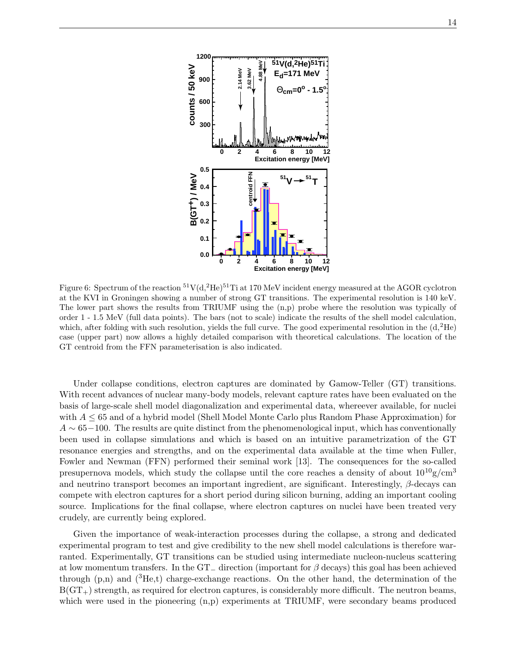

Figure 6: Spectrum of the reaction  ${}^{51}V(d,{}^{2}He)^{51}Ti$  at 170 MeV incident energy measured at the AGOR cyclotron at the KVI in Groningen showing a number of strong GT transitions. The experimental resolution is 140 keV. The lower part shows the results from TRIUMF using the (n,p) probe where the resolution was typically of order 1 - 1.5 MeV (full data points). The bars (not to scale) indicate the results of the shell model calculation, which, after folding with such resolution, yields the full curve. The good experimental resolution in the  $(d,^{2}He)$ case (upper part) now allows a highly detailed comparison with theoretical calculations. The location of the GT centroid from the FFN parameterisation is also indicated.

Under collapse conditions, electron captures are dominated by Gamow-Teller (GT) transitions. With recent advances of nuclear many-body models, relevant capture rates have been evaluated on the basis of large-scale shell model diagonalization and experimental data, whereever available, for nuclei with  $A \leq 65$  and of a hybrid model (Shell Model Monte Carlo plus Random Phase Approximation) for  $A \sim 65-100$ . The results are quite distinct from the phenomenological input, which has conventionally been used in collapse simulations and which is based on an intuitive parametrization of the GT resonance energies and strengths, and on the experimental data available at the time when Fuller, Fowler and Newman (FFN) performed their seminal work [13]. The consequences for the so-called presupernova models, which study the collapse until the core reaches a density of about  $10^{10}$  g/cm<sup>3</sup> and neutrino transport becomes an important ingredient, are significant. Interestingly,  $\beta$ -decays can compete with electron captures for a short period during silicon burning, adding an important cooling source. Implications for the final collapse, where electron captures on nuclei have been treated very crudely, are currently being explored.

Given the importance of weak-interaction processes during the collapse, a strong and dedicated experimental program to test and give credibility to the new shell model calculations is therefore warranted. Experimentally, GT transitions can be studied using intermediate nucleon-nucleus scattering at low momentum transfers. In the GT<sub>−</sub> direction (important for  $\beta$  decays) this goal has been achieved through (p,n) and ( <sup>3</sup>He,t) charge-exchange reactions. On the other hand, the determination of the  $B(GT_+)$  strength, as required for electron captures, is considerably more difficult. The neutron beams, which were used in the pioneering  $(n,p)$  experiments at TRIUMF, were secondary beams produced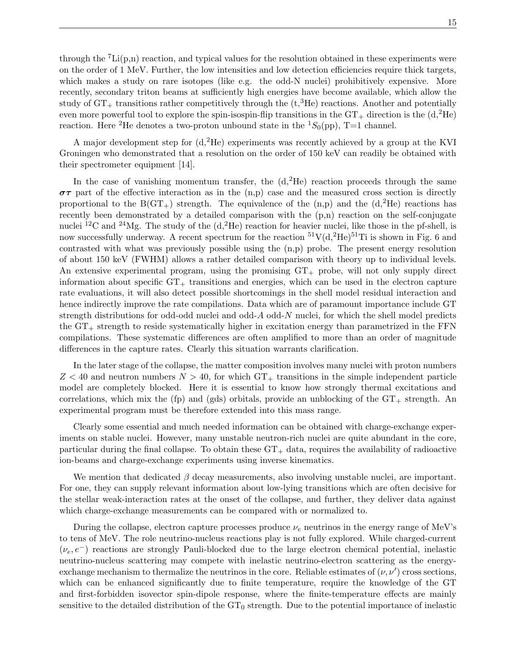through the  ${}^{7}Li(p,n)$  reaction, and typical values for the resolution obtained in these experiments were on the order of 1 MeV. Further, the low intensities and low detection efficiencies require thick targets, which makes a study on rare isotopes (like e.g. the odd-N nuclei) prohibitively expensive. More recently, secondary triton beams at sufficiently high energies have become available, which allow the study of  $GT_+$  transitions rather competitively through the  $(t,{}^{3}\text{He})$  reactions. Another and potentially even more powerful tool to explore the spin-isospin-flip transitions in the  $GT_+$  direction is the  $(d,^2He)$ reaction. Here <sup>2</sup>He denotes a two-proton unbound state in the <sup>1</sup>S<sub>0</sub>(pp), T=1 channel.

A major development step for (d,2He) experiments was recently achieved by a group at the KVI Groningen who demonstrated that a resolution on the order of 150 keV can readily be obtained with their spectrometer equipment [14].

In the case of vanishing momentum transfer, the  $(d,{}^{2}He)$  reaction proceeds through the same  $\sigma\tau$  part of the effective interaction as in the (n,p) case and the measured cross section is directly proportional to the  $B(GT_+)$  strength. The equivalence of the  $(n,p)$  and the  $(d,{}^{2}He)$  reactions has recently been demonstrated by a detailed comparison with the  $(p,n)$  reaction on the self-conjugate nuclei <sup>12</sup>C and <sup>24</sup>Mg. The study of the  $(d, {}^{2}He)$  reaction for heavier nuclei, like those in the pf-shell, is now successfully underway. A recent spectrum for the reaction  ${}^{51}V(d,{}^{2}He)^{51}Ti$  is shown in Fig. 6 and contrasted with what was previously possible using the (n,p) probe. The present energy resolution of about 150 keV (FWHM) allows a rather detailed comparison with theory up to individual levels. An extensive experimental program, using the promising  $GT_+$  probe, will not only supply direct information about specific  $GT_+$  transitions and energies, which can be used in the electron capture rate evaluations, it will also detect possible shortcomings in the shell model residual interaction and hence indirectly improve the rate compilations. Data which are of paramount importance include GT strength distributions for odd-odd nuclei and odd-A odd-N nuclei, for which the shell model predicts the  $GT_{+}$  strength to reside systematically higher in excitation energy than parametrized in the  $FFN$ compilations. These systematic differences are often amplified to more than an order of magnitude differences in the capture rates. Clearly this situation warrants clarification.

In the later stage of the collapse, the matter composition involves many nuclei with proton numbers  $Z < 40$  and neutron numbers  $N > 40$ , for which  $GT_+$  transitions in the simple independent particle model are completely blocked. Here it is essential to know how strongly thermal excitations and correlations, which mix the (fp) and (gds) orbitals, provide an unblocking of the  $GT_+$  strength. An experimental program must be therefore extended into this mass range.

Clearly some essential and much needed information can be obtained with charge-exchange experiments on stable nuclei. However, many unstable neutron-rich nuclei are quite abundant in the core, particular during the final collapse. To obtain these  $GT_+$  data, requires the availability of radioactive ion-beams and charge-exchange experiments using inverse kinematics.

We mention that dedicated  $\beta$  decay measurements, also involving unstable nuclei, are important. For one, they can supply relevant information about low-lying transitions which are often decisive for the stellar weak-interaction rates at the onset of the collapse, and further, they deliver data against which charge-exchange measurements can be compared with or normalized to.

During the collapse, electron capture processes produce  $\nu_e$  neutrinos in the energy range of MeV's to tens of MeV. The role neutrino-nucleus reactions play is not fully explored. While charged-current  $(\nu_e, e^-)$  reactions are strongly Pauli-blocked due to the large electron chemical potential, inelastic neutrino-nucleus scattering may compete with inelastic neutrino-electron scattering as the energyexchange mechanism to thermalize the neutrinos in the core. Reliable estimates of  $(\nu, \nu')$  cross sections, which can be enhanced significantly due to finite temperature, require the knowledge of the GT and first-forbidden isovector spin-dipole response, where the finite-temperature effects are mainly sensitive to the detailed distribution of the  $GT_0$  strength. Due to the potential importance of inelastic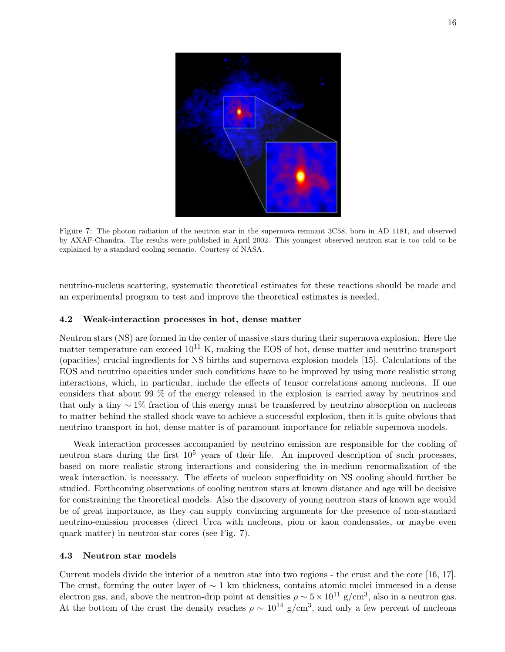

Figure 7: The photon radiation of the neutron star in the supernova remnant 3C58, born in AD 1181, and observed by AXAF-Chandra. The results were published in April 2002. This youngest observed neutron star is too cold to be explained by a standard cooling scenario. Courtesy of NASA.

neutrino-nucleus scattering, systematic theoretical estimates for these reactions should be made and an experimental program to test and improve the theoretical estimates is needed.

#### 4.2 Weak-interaction processes in hot, dense matter

Neutron stars (NS) are formed in the center of massive stars during their supernova explosion. Here the matter temperature can exceed  $10^{11}$  K, making the EOS of hot, dense matter and neutrino transport (opacities) crucial ingredients for NS births and supernova explosion models [15]. Calculations of the EOS and neutrino opacities under such conditions have to be improved by using more realistic strong interactions, which, in particular, include the effects of tensor correlations among nucleons. If one considers that about 99 % of the energy released in the explosion is carried away by neutrinos and that only a tiny ∼ 1% fraction of this energy must be transferred by neutrino absorption on nucleons to matter behind the stalled shock wave to achieve a successful explosion, then it is quite obvious that neutrino transport in hot, dense matter is of paramount importance for reliable supernova models.

Weak interaction processes accompanied by neutrino emission are responsible for the cooling of neutron stars during the first  $10^5$  years of their life. An improved description of such processes, based on more realistic strong interactions and considering the in-medium renormalization of the weak interaction, is necessary. The effects of nucleon superfluidity on NS cooling should further be studied. Forthcoming observations of cooling neutron stars at known distance and age will be decisive for constraining the theoretical models. Also the discovery of young neutron stars of known age would be of great importance, as they can supply convincing arguments for the presence of non-standard neutrino-emission processes (direct Urca with nucleons, pion or kaon condensates, or maybe even quark matter) in neutron-star cores (see Fig. 7).

#### 4.3 Neutron star models

Current models divide the interior of a neutron star into two regions - the crust and the core [16, 17]. The crust, forming the outer layer of  $\sim 1$  km thickness, contains atomic nuclei immersed in a dense electron gas, and, above the neutron-drip point at densities  $\rho \sim 5 \times 10^{11}$  g/cm<sup>3</sup>, also in a neutron gas. At the bottom of the crust the density reaches  $\rho \sim 10^{14}$  g/cm<sup>3</sup>, and only a few percent of nucleons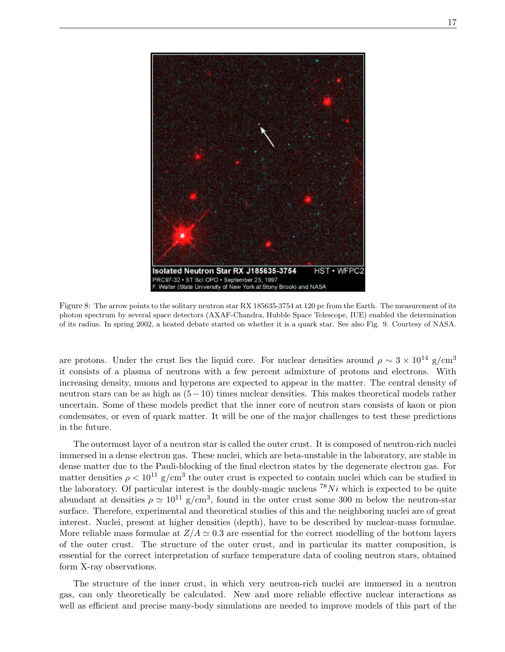

Figure 8: The arrow points to the solitary neutron star RX 185635-3754 at 120 pc from the Earth. The measurement of its photon spectrum by several space detectors (AXAF-Chandra, Hubble Space Telescope, IUE) enabled the determination of its radius. In spring 2002, a heated debate started on whether it is a quark star. See also Fig. 9. Courtesy of NASA.

are protons. Under the crust lies the liquid core. For nuclear densities around  $\rho \sim 3 \times 10^{14}$  g/cm<sup>3</sup> it consists of a plasma of neutrons with a few percent admixture of protons and electrons. With increasing density, muons and hyperons are expected to appear in the matter. The central density of neutron stars can be as high as  $(5 - 10)$  times nuclear densities. This makes theoretical models rather uncertain. Some of these models predict that the inner core of neutron stars consists of kaon or pion condensates, or even of quark matter. It will be one of the major challenges to test these predictions in the future.

The outermost layer of a neutron star is called the outer crust. It is composed of neutron-rich nuclei immersed in a dense electron gas. These nuclei, which are beta-unstable in the laboratory, are stable in dense matter due to the Pauli-blocking of the final electron states by the degenerate electron gas. For matter densities  $\rho < 10^{11}$  g/cm<sup>3</sup> the outer crust is expected to contain nuclei which can be studied in the laboratory. Of particular interest is the doubly-magic nucleus  ${}^{78}Ni$  which is expected to be quite abundant at densities  $\rho \simeq 10^{11}$  g/cm<sup>3</sup>, found in the outer crust some 300 m below the neutron-star surface. Therefore, experimental and theoretical studies of this and the neighboring nuclei are of great interest. Nuclei, present at higher densities (depth), have to be described by nuclear-mass formulae. More reliable mass formulae at  $Z/A \simeq 0.3$  are essential for the correct modelling of the bottom layers of the outer crust. The structure of the outer crust, and in particular its matter composition, is essential for the correct interpretation of surface temperature data of cooling neutron stars, obtained form X-ray observations.

The structure of the inner crust, in which very neutron-rich nuclei are immersed in a neutron gas, can only theoretically be calculated. New and more reliable effective nuclear interactions as well as efficient and precise many-body simulations are needed to improve models of this part of the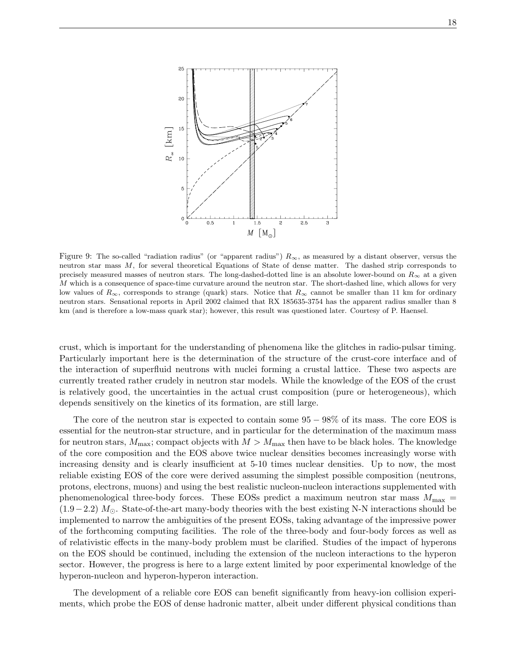

Figure 9: The so-called "radiation radius" (or "apparent radius")  $R_{\infty}$ , as measured by a distant observer, versus the neutron star mass M, for several theoretical Equations of State of dense matter. The dashed strip corresponds to precisely measured masses of neutron stars. The long-dashed-dotted line is an absolute lower-bound on  $R_{\infty}$  at a given M which is a consequence of space-time curvature around the neutron star. The short-dashed line, which allows for very low values of  $R_{\infty}$ , corresponds to strange (quark) stars. Notice that  $R_{\infty}$  cannot be smaller than 11 km for ordinary neutron stars. Sensational reports in April 2002 claimed that RX 185635-3754 has the apparent radius smaller than 8 km (and is therefore a low-mass quark star); however, this result was questioned later. Courtesy of P. Haensel.

crust, which is important for the understanding of phenomena like the glitches in radio-pulsar timing. Particularly important here is the determination of the structure of the crust-core interface and of the interaction of superfluid neutrons with nuclei forming a crustal lattice. These two aspects are currently treated rather crudely in neutron star models. While the knowledge of the EOS of the crust is relatively good, the uncertainties in the actual crust composition (pure or heterogeneous), which depends sensitively on the kinetics of its formation, are still large.

The core of the neutron star is expected to contain some 95 − 98% of its mass. The core EOS is essential for the neutron-star structure, and in particular for the determination of the maximum mass for neutron stars,  $M_{\text{max}}$ ; compact objects with  $M > M_{\text{max}}$  then have to be black holes. The knowledge of the core composition and the EOS above twice nuclear densities becomes increasingly worse with increasing density and is clearly insufficient at 5-10 times nuclear densities. Up to now, the most reliable existing EOS of the core were derived assuming the simplest possible composition (neutrons, protons, electrons, muons) and using the best realistic nucleon-nucleon interactions supplemented with phenomenological three-body forces. These EOSs predict a maximum neutron star mass  $M_{\text{max}} =$  $(1.9-2.2)$  M<sub> $\odot$ </sub>. State-of-the-art many-body theories with the best existing N-N interactions should be implemented to narrow the ambiguities of the present EOSs, taking advantage of the impressive power of the forthcoming computing facilities. The role of the three-body and four-body forces as well as of relativistic effects in the many-body problem must be clarified. Studies of the impact of hyperons on the EOS should be continued, including the extension of the nucleon interactions to the hyperon sector. However, the progress is here to a large extent limited by poor experimental knowledge of the hyperon-nucleon and hyperon-hyperon interaction.

The development of a reliable core EOS can benefit significantly from heavy-ion collision experiments, which probe the EOS of dense hadronic matter, albeit under different physical conditions than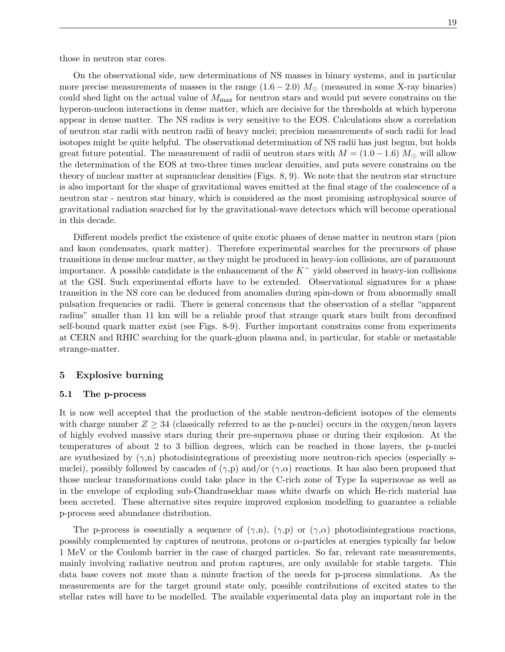On the observational side, new determinations of NS masses in binary systems, and in particular more precise measurements of masses in the range  $(1.6 - 2.0) M_{\odot}$  (measured in some X-ray binaries) could shed light on the actual value of  $M_{\text{max}}$  for neutron stars and would put severe constrains on the hyperon-nucleon interactions in dense matter, which are decisive for the thresholds at which hyperons appear in dense matter. The NS radius is very sensitive to the EOS. Calculations show a correlation of neutron star radii with neutron radii of heavy nuclei; precision measurements of such radii for lead isotopes might be quite helpful. The observational determination of NS radii has just begun, but holds great future potential. The measurement of radii of neutron stars with  $M = (1.0 - 1.6) M_{\odot}$  will allow the determination of the EOS at two-three times nuclear densities, and puts severe constrains on the theory of nuclear matter at supranuclear densities (Figs. 8, 9). We note that the neutron star structure is also important for the shape of gravitational waves emitted at the final stage of the coalescence of a neutron star - neutron star binary, which is considered as the most promising astrophysical source of gravitational radiation searched for by the gravitational-wave detectors which will become operational in this decade.

Different models predict the existence of quite exotic phases of dense matter in neutron stars (pion and kaon condensates, quark matter). Therefore experimental searches for the precursors of phase transitions in dense nuclear matter, as they might be produced in heavy-ion collisions, are of paramount importance. A possible candidate is the enhancement of the  $K^-$  yield observed in heavy-ion collisions at the GSI. Such experimental efforts have to be extended. Observational signatures for a phase transition in the NS core can be deduced from anomalies during spin-down or from abnormally small pulsation frequencies or radii. There is general concensus that the observation of a stellar "apparent radius" smaller than 11 km will be a reliable proof that strange quark stars built from deconfined self-bound quark matter exist (see Figs. 8-9). Further important constrains come from experiments at CERN and RHIC searching for the quark-gluon plasma and, in particular, for stable or metastable strange-matter.

# 5 Explosive burning

#### 5.1 The p-process

It is now well accepted that the production of the stable neutron-deficient isotopes of the elements with charge number  $Z \geq 34$  (classically referred to as the p-nuclei) occurs in the oxygen/neon layers of highly evolved massive stars during their pre-supernova phase or during their explosion. At the temperatures of about 2 to 3 billion degrees, which can be reached in those layers, the p-nuclei are synthesized by  $(\gamma,n)$  photodisintegrations of preexisting more neutron-rich species (especially snuclei), possibly followed by cascades of  $(\gamma, p)$  and/or  $(\gamma, \alpha)$  reactions. It has also been proposed that those nuclear transformations could take place in the C-rich zone of Type Ia supernovae as well as in the envelope of exploding sub-Chandrasekhar mass white dwarfs on which He-rich material has been accreted. These alternative sites require improved explosion modelling to guarantee a reliable p-process seed abundance distribution.

The p-process is essentially a sequence of  $(\gamma,n)$ ,  $(\gamma,p)$  or  $(\gamma,\alpha)$  photodisintegrations reactions, possibly complemented by captures of neutrons, protons or  $\alpha$ -particles at energies typically far below 1 MeV or the Coulomb barrier in the case of charged particles. So far, relevant rate measurements, mainly involving radiative neutron and proton captures, are only available for stable targets. This data base covers not more than a minute fraction of the needs for p-process simulations. As the measurements are for the target ground state only, possible contributions of excited states to the stellar rates will have to be modelled. The available experimental data play an important role in the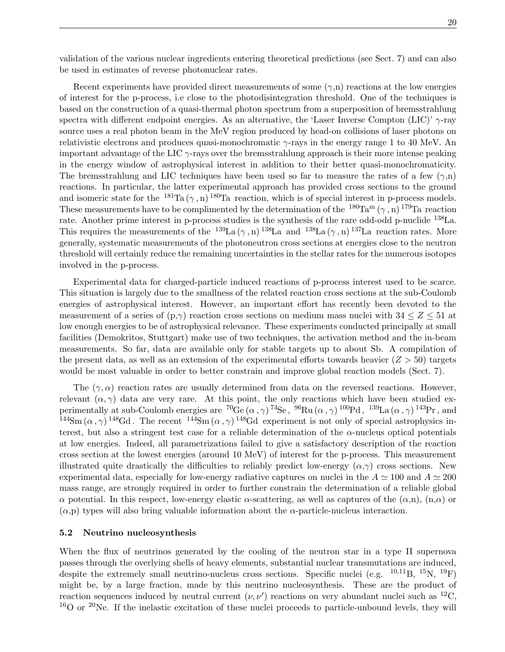validation of the various nuclear ingredients entering theoretical predictions (see Sect. 7) and can also be used in estimates of reverse photonuclear rates.

Recent experiments have provided direct measurements of some  $(\gamma,n)$  reactions at the low energies of interest for the p-process, i.e close to the photodisintegration threshold. One of the techniques is based on the construction of a quasi-thermal photon spectrum from a superposition of bremsstrahlung spectra with different endpoint energies. As an alternative, the 'Laser Inverse Compton (LIC)'  $\gamma$ -ray source uses a real photon beam in the MeV region produced by head-on collisions of laser photons on relativistic electrons and produces quasi-monochromatic  $\gamma$ -rays in the energy range 1 to 40 MeV. An important advantage of the LIC  $\gamma$ -rays over the bremsstrahlung approach is their more intense peaking in the energy window of astrophysical interest in addition to their better quasi-monochromaticity. The bremsstrahlung and LIC techniques have been used so far to measure the rates of a few  $(\gamma,n)$ reactions. In particular, the latter experimental approach has provided cross sections to the ground and isomeric state for the  $^{181}$ Ta ( $\gamma$ , n)  $^{180}$ Ta reaction, which is of special interest in p-process models. These measurements have to be complimented by the determination of the  $^{180}\text{Ta}^m(\gamma, n)^{179}\text{Ta}$  reaction rate. Another prime interest in p-process studies is the synthesis of the rare odd-odd p-nuclide <sup>138</sup>La. This requires the measurements of the  $^{139}La (\gamma, n)^{138}La$  and  $^{138}La (\gamma, n)^{137}La$  reaction rates. More generally, systematic measurements of the photoneutron cross sections at energies close to the neutron threshold will certainly reduce the remaining uncertainties in the stellar rates for the numerous isotopes involved in the p-process.

Experimental data for charged-particle induced reactions of p-process interest used to be scarce. This situation is largely due to the smallness of the related reaction cross sections at the sub-Coulomb energies of astrophysical interest. However, an important effort has recently been devoted to the measurement of a series of  $(p,\gamma)$  reaction cross sections on medium mass nuclei with  $34 \leq Z \leq 51$  at low enough energies to be of astrophysical relevance. These experiments conducted principally at small facilities (Demokritos, Stuttgart) make use of two techniques, the activation method and the in-beam measurements. So far, data are available only for stable targets up to about Sb. A compilation of the present data, as well as an extension of the experimental efforts towards heavier  $(Z > 50)$  targets would be most valuable in order to better constrain and improve global reaction models (Sect. 7).

The  $(\gamma, \alpha)$  reaction rates are usually determined from data on the reversed reactions. However, relevant  $(\alpha, \gamma)$  data are very rare. At this point, the only reactions which have been studied experimentally at sub-Coulomb energies are  ${}^{70}Ge(\alpha,\gamma){}^{74}Se$ ,  ${}^{96}Ru(\alpha,\gamma){}^{100}Pd$ ,  ${}^{139}La(\alpha,\gamma){}^{143}Pr$ , and <sup>144</sup>Sm  $(\alpha, \gamma)$ <sup>148</sup>Gd. The recent <sup>144</sup>Sm  $(\alpha, \gamma)$ <sup>148</sup>Gd experiment is not only of special astrophysics interest, but also a stringent test case for a reliable determination of the  $\alpha$ -nucleus optical potentials at low energies. Indeed, all parametrizations failed to give a satisfactory description of the reaction cross section at the lowest energies (around 10 MeV) of interest for the p-process. This measurement illustrated quite drastically the difficulties to reliably predict low-energy  $(\alpha, \gamma)$  cross sections. New experimental data, especially for low-energy radiative captures on nuclei in the  $A \simeq 100$  and  $A \simeq 200$ mass range, are strongly required in order to further constrain the determination of a reliable global α potential. In this respect, low-energy elastic α-scattering, as well as captures of the (α,n), (n,α) or  $(\alpha, p)$  types will also bring valuable information about the  $\alpha$ -particle-nucleus interaction.

### 5.2 Neutrino nucleosynthesis

When the flux of neutrinos generated by the cooling of the neutron star in a type II supernova passes through the overlying shells of heavy elements, substantial nuclear transmutations are induced, despite the extremely small neutrino-nucleus cross sections. Specific nuclei (e.g.  $^{10,11}B$ ,  $^{15}N$ ,  $^{19}F$ ) might be, by a large fraction, made by this neutrino nucleosynthesis. These are the product of reaction sequences induced by neutral current  $(\nu, \nu')$  reactions on very abundant nuclei such as <sup>12</sup>C,  $16$ O or  $20$ Ne. If the inelastic excitation of these nuclei proceeds to particle-unbound levels, they will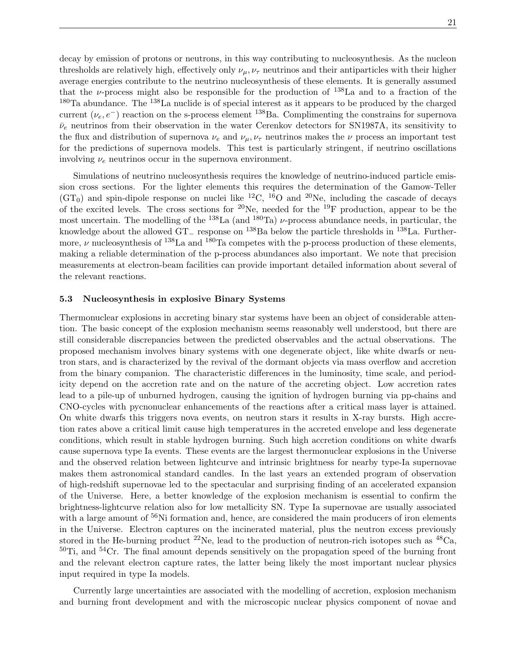decay by emission of protons or neutrons, in this way contributing to nucleosynthesis. As the nucleon thresholds are relatively high, effectively only  $\nu_\mu, \nu_\tau$  neutrinos and their antiparticles with their higher average energies contribute to the neutrino nucleosynthesis of these elements. It is generally assumed that the *v*-process might also be responsible for the production of  $1^{38}$ La and to a fraction of the  $180$ Ta abundance. The  $138$ La nuclide is of special interest as it appears to be produced by the charged current  $(\nu_e, e^-)$  reaction on the s-process element <sup>138</sup>Ba. Complimenting the constrains for supernova  $\bar{\nu}_e$  neutrinos from their observation in the water Cerenkov detectors for SN1987A, its sensitivity to the flux and distribution of supernova  $\nu_e$  and  $\nu_\mu$ ,  $\nu_\tau$  neutrinos makes the  $\nu$  process an important test for the predictions of supernova models. This test is particularly stringent, if neutrino oscillations involving  $\nu_e$  neutrinos occur in the supernova environment.

Simulations of neutrino nucleosynthesis requires the knowledge of neutrino-induced particle emission cross sections. For the lighter elements this requires the determination of the Gamow-Teller  $(GT_0)$  and spin-dipole response on nuclei like <sup>12</sup>C, <sup>16</sup>O and <sup>20</sup>Ne, including the cascade of decays of the excited levels. The cross sections for <sup>20</sup>Ne, needed for the <sup>19</sup>F production, appear to be the most uncertain. The modelling of the  $^{138}$ La (and  $^{180}$ Ta)  $\nu$ -process abundance needs, in particular, the knowledge about the allowed GT<sup>−</sup> response on <sup>138</sup>Ba below the particle thresholds in <sup>138</sup>La. Furthermore,  $\nu$  nucleosynthesis of <sup>138</sup>La and <sup>180</sup>Ta competes with the p-process production of these elements, making a reliable determination of the p-process abundances also important. We note that precision measurements at electron-beam facilities can provide important detailed information about several of the relevant reactions.

### 5.3 Nucleosynthesis in explosive Binary Systems

Thermonuclear explosions in accreting binary star systems have been an object of considerable attention. The basic concept of the explosion mechanism seems reasonably well understood, but there are still considerable discrepancies between the predicted observables and the actual observations. The proposed mechanism involves binary systems with one degenerate object, like white dwarfs or neutron stars, and is characterized by the revival of the dormant objects via mass overflow and accretion from the binary companion. The characteristic differences in the luminosity, time scale, and periodicity depend on the accretion rate and on the nature of the accreting object. Low accretion rates lead to a pile-up of unburned hydrogen, causing the ignition of hydrogen burning via pp-chains and CNO-cycles with pycnonuclear enhancements of the reactions after a critical mass layer is attained. On white dwarfs this triggers nova events, on neutron stars it results in X-ray bursts. High accretion rates above a critical limit cause high temperatures in the accreted envelope and less degenerate conditions, which result in stable hydrogen burning. Such high accretion conditions on white dwarfs cause supernova type Ia events. These events are the largest thermonuclear explosions in the Universe and the observed relation between lightcurve and intrinsic brightness for nearby type-Ia supernovae makes them astronomical standard candles. In the last years an extended program of observation of high-redshift supernovae led to the spectacular and surprising finding of an accelerated expansion of the Universe. Here, a better knowledge of the explosion mechanism is essential to confirm the brightness-lightcurve relation also for low metallicity SN. Type Ia supernovae are usually associated with a large amount of  $56Ni$  formation and, hence, are considered the main producers of iron elements in the Universe. Electron captures on the incinerated material, plus the neutron excess previously stored in the He-burning product  $^{22}$ Ne, lead to the production of neutron-rich isotopes such as  $^{48}Ca$ ,  $50$ Ti, and  $54$ Cr. The final amount depends sensitively on the propagation speed of the burning front and the relevant electron capture rates, the latter being likely the most important nuclear physics input required in type Ia models.

Currently large uncertainties are associated with the modelling of accretion, explosion mechanism and burning front development and with the microscopic nuclear physics component of novae and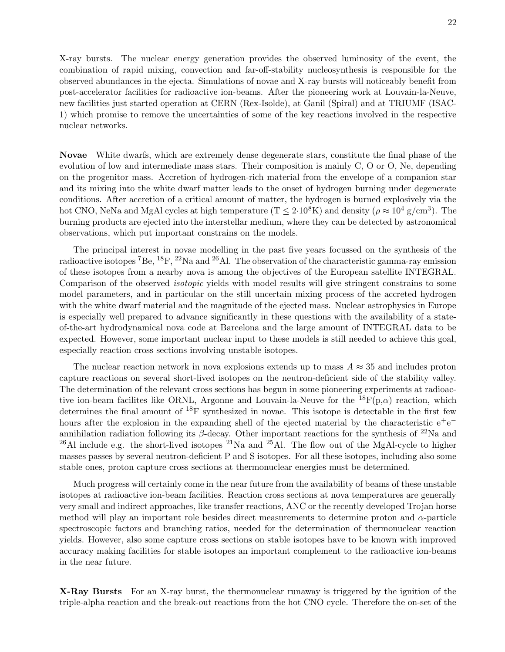X-ray bursts. The nuclear energy generation provides the observed luminosity of the event, the combination of rapid mixing, convection and far-off-stability nucleosynthesis is responsible for the observed abundances in the ejecta. Simulations of novae and X-ray bursts will noticeably benefit from post-accelerator facilities for radioactive ion-beams. After the pioneering work at Louvain-la-Neuve, new facilities just started operation at CERN (Rex-Isolde), at Ganil (Spiral) and at TRIUMF (ISAC-1) which promise to remove the uncertainties of some of the key reactions involved in the respective nuclear networks.

Novae White dwarfs, which are extremely dense degenerate stars, constitute the final phase of the evolution of low and intermediate mass stars. Their composition is mainly C, O or O, Ne, depending on the progenitor mass. Accretion of hydrogen-rich material from the envelope of a companion star and its mixing into the white dwarf matter leads to the onset of hydrogen burning under degenerate conditions. After accretion of a critical amount of matter, the hydrogen is burned explosively via the hot CNO, NeNa and MgAl cycles at high temperature  $(T \leq 2.10^8 K)$  and density  $(\rho \approx 10^4 \text{ g/cm}^3)$ . The burning products are ejected into the interstellar medium, where they can be detected by astronomical observations, which put important constrains on the models.

The principal interest in novae modelling in the past five years focussed on the synthesis of the radioactive isotopes <sup>7</sup>Be, <sup>18</sup>F, <sup>22</sup>Na and <sup>26</sup>Al. The observation of the characteristic gamma-ray emission of these isotopes from a nearby nova is among the objectives of the European satellite INTEGRAL. Comparison of the observed isotopic yields with model results will give stringent constrains to some model parameters, and in particular on the still uncertain mixing process of the accreted hydrogen with the white dwarf material and the magnitude of the ejected mass. Nuclear astrophysics in Europe is especially well prepared to advance significantly in these questions with the availability of a stateof-the-art hydrodynamical nova code at Barcelona and the large amount of INTEGRAL data to be expected. However, some important nuclear input to these models is still needed to achieve this goal, especially reaction cross sections involving unstable isotopes.

The nuclear reaction network in nova explosions extends up to mass  $A \approx 35$  and includes proton capture reactions on several short-lived isotopes on the neutron-deficient side of the stability valley. The determination of the relevant cross sections has begun in some pioneering experiments at radioactive ion-beam facilites like ORNL, Argonne and Louvain-la-Neuve for the  $^{18}F(p,\alpha)$  reaction, which determines the final amount of  $^{18}F$  synthesized in novae. This isotope is detectable in the first few hours after the explosion in the expanding shell of the ejected material by the characteristic  $e^+e^$ annihilation radiation following its  $\beta$ -decay. Other important reactions for the synthesis of <sup>22</sup>Na and <sup>26</sup>Al include e.g. the short-lived isotopes <sup>21</sup>Na and <sup>25</sup>Al. The flow out of the MgAl-cycle to higher masses passes by several neutron-deficient P and S isotopes. For all these isotopes, including also some stable ones, proton capture cross sections at thermonuclear energies must be determined.

Much progress will certainly come in the near future from the availability of beams of these unstable isotopes at radioactive ion-beam facilities. Reaction cross sections at nova temperatures are generally very small and indirect approaches, like transfer reactions, ANC or the recently developed Trojan horse method will play an important role besides direct measurements to determine proton and  $\alpha$ -particle spectroscopic factors and branching ratios, needed for the determination of thermonuclear reaction yields. However, also some capture cross sections on stable isotopes have to be known with improved accuracy making facilities for stable isotopes an important complement to the radioactive ion-beams in the near future.

X-Ray Bursts For an X-ray burst, the thermonuclear runaway is triggered by the ignition of the triple-alpha reaction and the break-out reactions from the hot CNO cycle. Therefore the on-set of the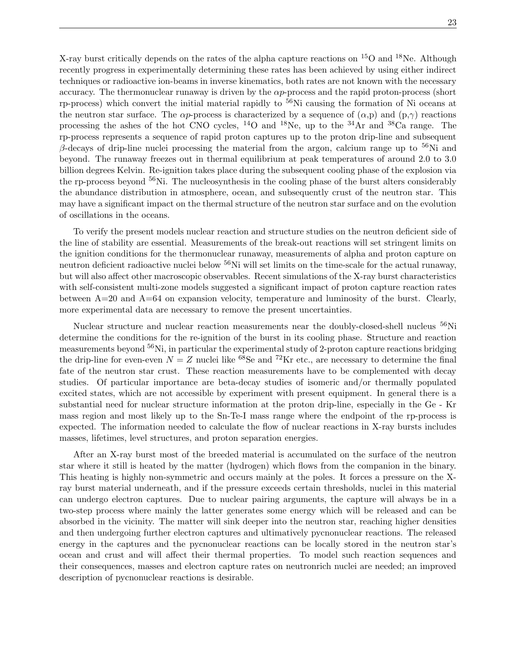X-ray burst critically depends on the rates of the alpha capture reactions on  $^{15}O$  and  $^{18}Ne$ . Although recently progress in experimentally determining these rates has been achieved by using either indirect techniques or radioactive ion-beams in inverse kinematics, both rates are not known with the necessary accuracy. The thermonuclear runaway is driven by the  $\alpha p$ -process and the rapid proton-process (short rp-process) which convert the initial material rapidly to  $56$ Ni causing the formation of Ni oceans at the neutron star surface. The  $\alpha p$ -process is characterized by a sequence of  $(\alpha, p)$  and  $(p, \gamma)$  reactions processing the ashes of the hot CNO cycles, <sup>14</sup>O and <sup>18</sup>Ne, up to the <sup>34</sup>Ar and <sup>38</sup>Ca range. The rp-process represents a sequence of rapid proton captures up to the proton drip-line and subsequent β-decays of drip-line nuclei processing the material from the argon, calcium range up to  $56$ Ni and beyond. The runaway freezes out in thermal equilibrium at peak temperatures of around 2.0 to 3.0 billion degrees Kelvin. Re-ignition takes place during the subsequent cooling phase of the explosion via the rp-process beyond <sup>56</sup>Ni. The nucleosynthesis in the cooling phase of the burst alters considerably the abundance distribution in atmosphere, ocean, and subsequently crust of the neutron star. This may have a significant impact on the thermal structure of the neutron star surface and on the evolution of oscillations in the oceans.

To verify the present models nuclear reaction and structure studies on the neutron deficient side of the line of stability are essential. Measurements of the break-out reactions will set stringent limits on the ignition conditions for the thermonuclear runaway, measurements of alpha and proton capture on neutron deficient radioactive nuclei below <sup>56</sup>Ni will set limits on the time-scale for the actual runaway, but will also affect other macroscopic observables. Recent simulations of the X-ray burst characteristics with self-consistent multi-zone models suggested a significant impact of proton capture reaction rates between A=20 and A=64 on expansion velocity, temperature and luminosity of the burst. Clearly, more experimental data are necessary to remove the present uncertainties.

Nuclear structure and nuclear reaction measurements near the doubly-closed-shell nucleus <sup>56</sup>Ni determine the conditions for the re-ignition of the burst in its cooling phase. Structure and reaction measurements beyond <sup>56</sup>Ni, in particular the experimental study of 2-proton capture reactions bridging the drip-line for even-even  $N = Z$  nuclei like <sup>68</sup>Se and <sup>72</sup>Kr etc., are necessary to determine the final fate of the neutron star crust. These reaction measurements have to be complemented with decay studies. Of particular importance are beta-decay studies of isomeric and/or thermally populated excited states, which are not accessible by experiment with present equipment. In general there is a substantial need for nuclear structure information at the proton drip-line, especially in the Ge - Kr mass region and most likely up to the Sn-Te-I mass range where the endpoint of the rp-process is expected. The information needed to calculate the flow of nuclear reactions in X-ray bursts includes masses, lifetimes, level structures, and proton separation energies.

After an X-ray burst most of the breeded material is accumulated on the surface of the neutron star where it still is heated by the matter (hydrogen) which flows from the companion in the binary. This heating is highly non-symmetric and occurs mainly at the poles. It forces a pressure on the Xray burst material underneath, and if the pressure exceeds certain thresholds, nuclei in this material can undergo electron captures. Due to nuclear pairing arguments, the capture will always be in a two-step process where mainly the latter generates some energy which will be released and can be absorbed in the vicinity. The matter will sink deeper into the neutron star, reaching higher densities and then undergoing further electron captures and ultimatively pycnonuclear reactions. The released energy in the captures and the pycnonuclear reactions can be locally stored in the neutron star's ocean and crust and will affect their thermal properties. To model such reaction sequences and their consequences, masses and electron capture rates on neutronrich nuclei are needed; an improved description of pycnonuclear reactions is desirable.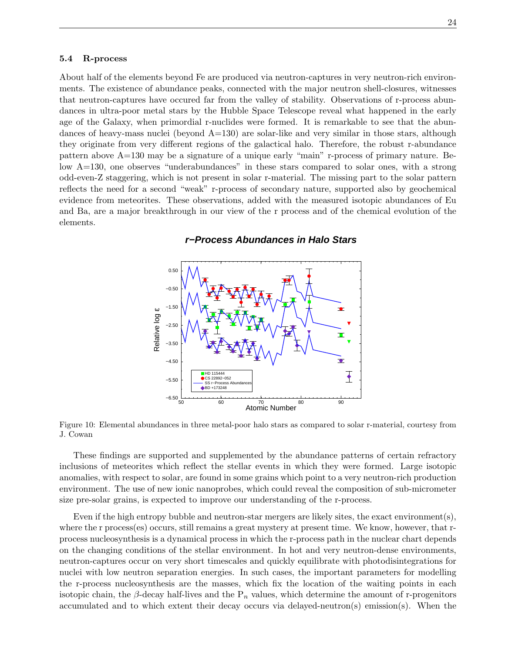#### 5.4 R-process

About half of the elements beyond Fe are produced via neutron-captures in very neutron-rich environments. The existence of abundance peaks, connected with the major neutron shell-closures, witnesses that neutron-captures have occured far from the valley of stability. Observations of r-process abundances in ultra-poor metal stars by the Hubble Space Telescope reveal what happened in the early age of the Galaxy, when primordial r-nuclides were formed. It is remarkable to see that the abundances of heavy-mass nuclei (beyond  $A=130$ ) are solar-like and very similar in those stars, although they originate from very different regions of the galactical halo. Therefore, the robust r-abundance pattern above A=130 may be a signature of a unique early "main" r-process of primary nature. Below A=130, one observes "underabundances" in these stars compared to solar ones, with a strong odd-even-Z staggering, which is not present in solar r-material. The missing part to the solar pattern reflects the need for a second "weak" r-process of secondary nature, supported also by geochemical evidence from meteorites. These observations, added with the measured isotopic abundances of Eu and Ba, are a major breakthrough in our view of the r process and of the chemical evolution of the elements.



## **r−Process Abundances in Halo Stars**

Figure 10: Elemental abundances in three metal-poor halo stars as compared to solar r-material, courtesy from J. Cowan

These findings are supported and supplemented by the abundance patterns of certain refractory inclusions of meteorites which reflect the stellar events in which they were formed. Large isotopic anomalies, with respect to solar, are found in some grains which point to a very neutron-rich production environment. The use of new ionic nanoprobes, which could reveal the composition of sub-micrometer size pre-solar grains, is expected to improve our understanding of the r-process.

Even if the high entropy bubble and neutron-star mergers are likely sites, the exact environment(s), where the r process(es) occurs, still remains a great mystery at present time. We know, however, that rprocess nucleosynthesis is a dynamical process in which the r-process path in the nuclear chart depends on the changing conditions of the stellar environment. In hot and very neutron-dense environments, neutron-captures occur on very short timescales and quickly equilibrate with photodisintegrations for nuclei with low neutron separation energies. In such cases, the important parameters for modelling the r-process nucleosynthesis are the masses, which fix the location of the waiting points in each isotopic chain, the  $\beta$ -decay half-lives and the P<sub>n</sub> values, which determine the amount of r-progenitors accumulated and to which extent their decay occurs via delayed-neutron(s) emission(s). When the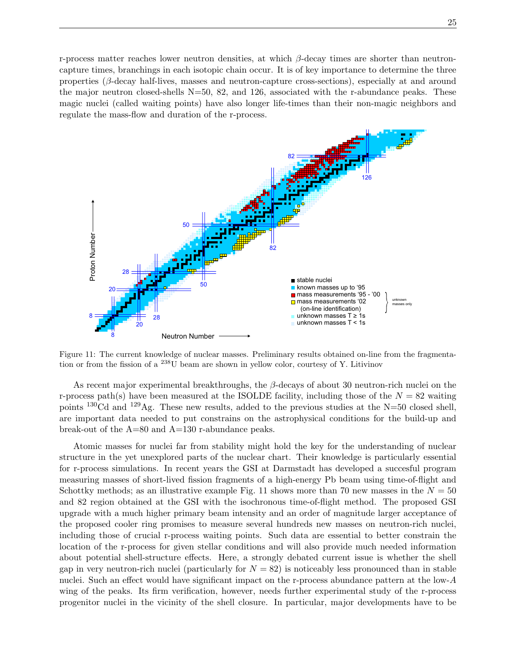r-process matter reaches lower neutron densities, at which  $\beta$ -decay times are shorter than neutroncapture times, branchings in each isotopic chain occur. It is of key importance to determine the three properties (β-decay half-lives, masses and neutron-capture cross-sections), especially at and around the major neutron closed-shells N=50, 82, and 126, associated with the r-abundance peaks. These magic nuclei (called waiting points) have also longer life-times than their non-magic neighbors and regulate the mass-flow and duration of the r-process.



Figure 11: The current knowledge of nuclear masses. Preliminary results obtained on-line from the fragmentation or from the fission of a <sup>238</sup>U beam are shown in yellow color, courtesy of Y. Litivinov

As recent major experimental breakthroughs, the  $\beta$ -decays of about 30 neutron-rich nuclei on the r-process path(s) have been measured at the ISOLDE facility, including those of the  $N = 82$  waiting points <sup>130</sup>Cd and <sup>129</sup>Ag. These new results, added to the previous studies at the N=50 closed shell, are important data needed to put constrains on the astrophysical conditions for the build-up and break-out of the A=80 and A=130 r-abundance peaks.

Atomic masses for nuclei far from stability might hold the key for the understanding of nuclear structure in the yet unexplored parts of the nuclear chart. Their knowledge is particularly essential for r-process simulations. In recent years the GSI at Darmstadt has developed a succesful program measuring masses of short-lived fission fragments of a high-energy Pb beam using time-of-flight and Schottky methods; as an illustrative example Fig. 11 shows more than 70 new masses in the  $N = 50$ and 82 region obtained at the GSI with the isochronous time-of-flight method. The proposed GSI upgrade with a much higher primary beam intensity and an order of magnitude larger acceptance of the proposed cooler ring promises to measure several hundreds new masses on neutron-rich nuclei, including those of crucial r-process waiting points. Such data are essential to better constrain the location of the r-process for given stellar conditions and will also provide much needed information about potential shell-structure effects. Here, a strongly debated current issue is whether the shell gap in very neutron-rich nuclei (particularly for  $N = 82$ ) is noticeably less pronounced than in stable nuclei. Such an effect would have significant impact on the r-process abundance pattern at the low-A wing of the peaks. Its firm verification, however, needs further experimental study of the r-process progenitor nuclei in the vicinity of the shell closure. In particular, major developments have to be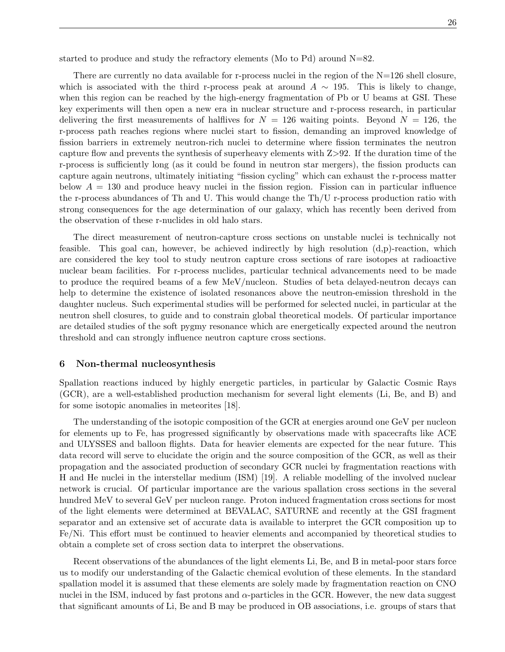started to produce and study the refractory elements (Mo to Pd) around N=82.

There are currently no data available for r-process nuclei in the region of the  $N=126$  shell closure, which is associated with the third r-process peak at around  $A \sim 195$ . This is likely to change, when this region can be reached by the high-energy fragmentation of Pb or U beams at GSI. These key experiments will then open a new era in nuclear structure and r-process research, in particular delivering the first measurements of halflives for  $N = 126$  waiting points. Beyond  $N = 126$ , the r-process path reaches regions where nuclei start to fission, demanding an improved knowledge of fission barriers in extremely neutron-rich nuclei to determine where fission terminates the neutron capture flow and prevents the synthesis of superheavy elements with Z>92. If the duration time of the r-process is sufficiently long (as it could be found in neutron star mergers), the fission products can capture again neutrons, ultimately initiating "fission cycling" which can exhaust the r-process matter below  $A = 130$  and produce heavy nuclei in the fission region. Fission can in particular influence the r-process abundances of Th and U. This would change the Th/U r-process production ratio with strong consequences for the age determination of our galaxy, which has recently been derived from the observation of these r-nuclides in old halo stars.

The direct measurement of neutron-capture cross sections on unstable nuclei is technically not feasible. This goal can, however, be achieved indirectly by high resolution  $(d,p)$ -reaction, which are considered the key tool to study neutron capture cross sections of rare isotopes at radioactive nuclear beam facilities. For r-process nuclides, particular technical advancements need to be made to produce the required beams of a few MeV/nucleon. Studies of beta delayed-neutron decays can help to determine the existence of isolated resonances above the neutron-emission threshold in the daughter nucleus. Such experimental studies will be performed for selected nuclei, in particular at the neutron shell closures, to guide and to constrain global theoretical models. Of particular importance are detailed studies of the soft pygmy resonance which are energetically expected around the neutron threshold and can strongly influence neutron capture cross sections.

### 6 Non-thermal nucleosynthesis

Spallation reactions induced by highly energetic particles, in particular by Galactic Cosmic Rays (GCR), are a well-established production mechanism for several light elements (Li, Be, and B) and for some isotopic anomalies in meteorites [18].

The understanding of the isotopic composition of the GCR at energies around one GeV per nucleon for elements up to Fe, has progressed significantly by observations made with spacecrafts like ACE and ULYSSES and balloon flights. Data for heavier elements are expected for the near future. This data record will serve to elucidate the origin and the source composition of the GCR, as well as their propagation and the associated production of secondary GCR nuclei by fragmentation reactions with H and He nuclei in the interstellar medium (ISM) [19]. A reliable modelling of the involved nuclear network is crucial. Of particular importance are the various spallation cross sections in the several hundred MeV to several GeV per nucleon range. Proton induced fragmentation cross sections for most of the light elements were determined at BEVALAC, SATURNE and recently at the GSI fragment separator and an extensive set of accurate data is available to interpret the GCR composition up to Fe/Ni. This effort must be continued to heavier elements and accompanied by theoretical studies to obtain a complete set of cross section data to interpret the observations.

Recent observations of the abundances of the light elements Li, Be, and B in metal-poor stars force us to modify our understanding of the Galactic chemical evolution of these elements. In the standard spallation model it is assumed that these elements are solely made by fragmentation reaction on CNO nuclei in the ISM, induced by fast protons and  $\alpha$ -particles in the GCR. However, the new data suggest that significant amounts of Li, Be and B may be produced in OB associations, i.e. groups of stars that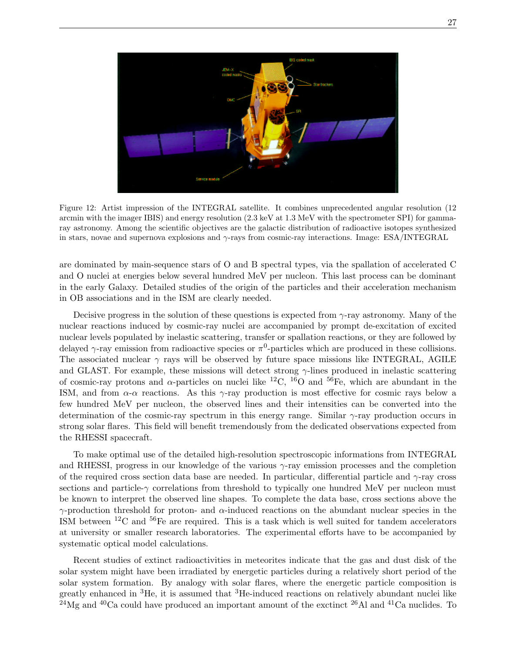

Figure 12: Artist impression of the INTEGRAL satellite. It combines unprecedented angular resolution (12 arcmin with the imager IBIS) and energy resolution (2.3 keV at 1.3 MeV with the spectrometer SPI) for gammaray astronomy. Among the scientific objectives are the galactic distribution of radioactive isotopes synthesized in stars, novae and supernova explosions and  $\gamma$ -rays from cosmic-ray interactions. Image: ESA/INTEGRAL

are dominated by main-sequence stars of O and B spectral types, via the spallation of accelerated C and O nuclei at energies below several hundred MeV per nucleon. This last process can be dominant in the early Galaxy. Detailed studies of the origin of the particles and their acceleration mechanism in OB associations and in the ISM are clearly needed.

Decisive progress in the solution of these questions is expected from  $\gamma$ -ray astronomy. Many of the nuclear reactions induced by cosmic-ray nuclei are accompanied by prompt de-excitation of excited nuclear levels populated by inelastic scattering, transfer or spallation reactions, or they are followed by delayed  $\gamma$ -ray emission from radioactive species or  $\pi^0$ -particles which are produced in these collisions. The associated nuclear  $\gamma$  rays will be observed by future space missions like INTEGRAL, AGILE and GLAST. For example, these missions will detect strong  $\gamma$ -lines produced in inelastic scattering of cosmic-ray protons and  $\alpha$ -particles on nuclei like <sup>12</sup>C, <sup>16</sup>O and <sup>56</sup>Fe, which are abundant in the ISM, and from  $\alpha$ - $\alpha$  reactions. As this  $\gamma$ -ray production is most effective for cosmic rays below a few hundred MeV per nucleon, the observed lines and their intensities can be converted into the determination of the cosmic-ray spectrum in this energy range. Similar  $\gamma$ -ray production occurs in strong solar flares. This field will benefit tremendously from the dedicated observations expected from the RHESSI spacecraft.

To make optimal use of the detailed high-resolution spectroscopic informations from INTEGRAL and RHESSI, progress in our knowledge of the various  $\gamma$ -ray emission processes and the completion of the required cross section data base are needed. In particular, differential particle and  $\gamma$ -ray cross sections and particle- $\gamma$  correlations from threshold to typically one hundred MeV per nucleon must be known to interpret the observed line shapes. To complete the data base, cross sections above the  $γ$ -production threshold for proton- and  $α$ -induced reactions on the abundant nuclear species in the ISM between  ${}^{12}$ C and  ${}^{56}$ Fe are required. This is a task which is well suited for tandem accelerators at university or smaller research laboratories. The experimental efforts have to be accompanied by systematic optical model calculations.

Recent studies of extinct radioactivities in meteorites indicate that the gas and dust disk of the solar system might have been irradiated by energetic particles during a relatively short period of the solar system formation. By analogy with solar flares, where the energetic particle composition is greatly enhanced in  ${}^{3}$ He, it is assumed that  ${}^{3}$ He-induced reactions on relatively abundant nuclei like  $^{24}$ Mg and <sup>40</sup>Ca could have produced an important amount of the exctinct <sup>26</sup>Al and <sup>41</sup>Ca nuclides. To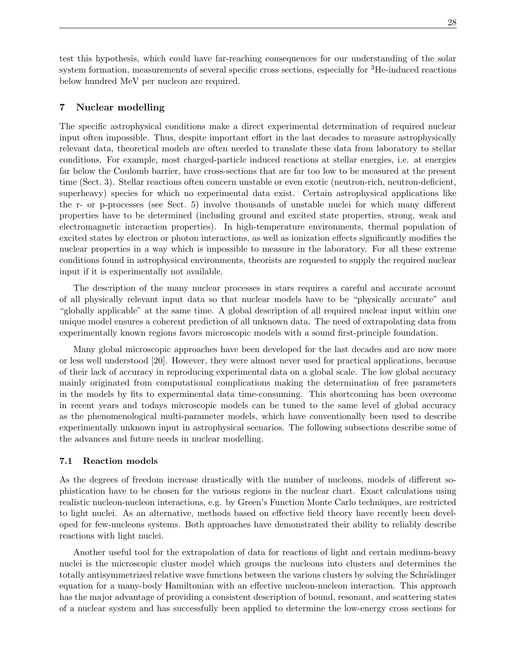test this hypothesis, which could have far-reaching consequences for our understanding of the solar system formation, measurements of several specific cross sections, especially for <sup>3</sup>He-induced reactions below hundred MeV per nucleon are required.

# 7 Nuclear modelling

The specific astrophysical conditions make a direct experimental determination of required nuclear input often impossible. Thus, despite important effort in the last decades to measure astrophysically relevant data, theoretical models are often needed to translate these data from laboratory to stellar conditions. For example, most charged-particle induced reactions at stellar energies, i.e. at energies far below the Coulomb barrier, have cross-sections that are far too low to be measured at the present time (Sect. 3). Stellar reactions often concern unstable or even exotic (neutron-rich, neutron-deficient, superheavy) species for which no experimental data exist. Certain astrophysical applications like the r- or p-processes (see Sect. 5) involve thousands of unstable nuclei for which many different properties have to be determined (including ground and excited state properties, strong, weak and electromagnetic interaction properties). In high-temperature environments, thermal population of excited states by electron or photon interactions, as well as ionization effects significantly modifies the nuclear properties in a way which is impossible to measure in the laboratory. For all these extreme conditions found in astrophysical environments, theorists are requested to supply the required nuclear input if it is experimentally not available.

The description of the many nuclear processes in stars requires a careful and accurate account of all physically relevant input data so that nuclear models have to be "physically accurate" and "globally applicable" at the same time. A global description of all required nuclear input within one unique model ensures a coherent prediction of all unknown data. The need of extrapolating data from experimentally known regions favors microscopic models with a sound first-principle foundation.

Many global microscopic approaches have been developed for the last decades and are now more or less well understood [20]. However, they were almost never used for practical applications, because of their lack of accuracy in reproducing experimental data on a global scale. The low global accuracy mainly originated from computational complications making the determination of free parameters in the models by fits to experminental data time-consuming. This shortcoming has been overcome in recent years and todays microscopic models can be tuned to the same level of global accuracy as the phenomenological multi-parameter models, which have conventionally been used to describe experimentally unknown input in astrophysical scenarios. The following subsections describe some of the advances and future needs in nuclear modelling.

## 7.1 Reaction models

As the degrees of freedom increase drastically with the number of nucleons, models of different sophistication have to be chosen for the various regions in the nuclear chart. Exact calculations using realistic nucleon-nucleon interactions, e.g. by Green's Function Monte Carlo techniques, are restricted to light nuclei. As an alternative, methods based on effective field theory have recently been developed for few-nucleons systems. Both approaches have demonstrated their ability to reliably describe reactions with light nuclei.

Another useful tool for the extrapolation of data for reactions of light and certain medium-heavy nuclei is the microscopic cluster model which groups the nucleons into clusters and determines the totally antisymmetrized relative wave functions between the various clusters by solving the Schrödinger equation for a many-body Hamiltonian with an effective nucleon-nucleon interaction. This approach has the major advantage of providing a consistent description of bound, resonant, and scattering states of a nuclear system and has successfully been applied to determine the low-energy cross sections for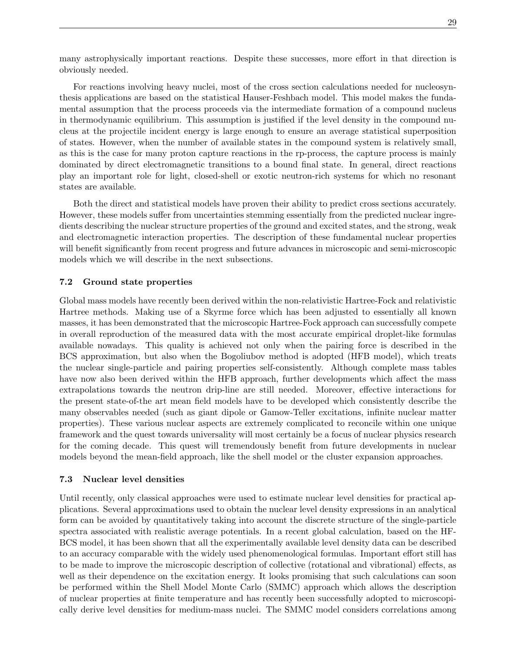many astrophysically important reactions. Despite these successes, more effort in that direction is obviously needed.

For reactions involving heavy nuclei, most of the cross section calculations needed for nucleosynthesis applications are based on the statistical Hauser-Feshbach model. This model makes the fundamental assumption that the process proceeds via the intermediate formation of a compound nucleus in thermodynamic equilibrium. This assumption is justified if the level density in the compound nucleus at the projectile incident energy is large enough to ensure an average statistical superposition of states. However, when the number of available states in the compound system is relatively small, as this is the case for many proton capture reactions in the rp-process, the capture process is mainly dominated by direct electromagnetic transitions to a bound final state. In general, direct reactions play an important role for light, closed-shell or exotic neutron-rich systems for which no resonant states are available.

Both the direct and statistical models have proven their ability to predict cross sections accurately. However, these models suffer from uncertainties stemming essentially from the predicted nuclear ingredients describing the nuclear structure properties of the ground and excited states, and the strong, weak and electromagnetic interaction properties. The description of these fundamental nuclear properties will benefit significantly from recent progress and future advances in microscopic and semi-microscopic models which we will describe in the next subsections.

# 7.2 Ground state properties

Global mass models have recently been derived within the non-relativistic Hartree-Fock and relativistic Hartree methods. Making use of a Skyrme force which has been adjusted to essentially all known masses, it has been demonstrated that the microscopic Hartree-Fock approach can successfully compete in overall reproduction of the measured data with the most accurate empirical droplet-like formulas available nowadays. This quality is achieved not only when the pairing force is described in the BCS approximation, but also when the Bogoliubov method is adopted (HFB model), which treats the nuclear single-particle and pairing properties self-consistently. Although complete mass tables have now also been derived within the HFB approach, further developments which affect the mass extrapolations towards the neutron drip-line are still needed. Moreover, effective interactions for the present state-of-the art mean field models have to be developed which consistently describe the many observables needed (such as giant dipole or Gamow-Teller excitations, infinite nuclear matter properties). These various nuclear aspects are extremely complicated to reconcile within one unique framework and the quest towards universality will most certainly be a focus of nuclear physics research for the coming decade. This quest will tremendously benefit from future developments in nuclear models beyond the mean-field approach, like the shell model or the cluster expansion approaches.

## 7.3 Nuclear level densities

Until recently, only classical approaches were used to estimate nuclear level densities for practical applications. Several approximations used to obtain the nuclear level density expressions in an analytical form can be avoided by quantitatively taking into account the discrete structure of the single-particle spectra associated with realistic average potentials. In a recent global calculation, based on the HF-BCS model, it has been shown that all the experimentally available level density data can be described to an accuracy comparable with the widely used phenomenological formulas. Important effort still has to be made to improve the microscopic description of collective (rotational and vibrational) effects, as well as their dependence on the excitation energy. It looks promising that such calculations can soon be performed within the Shell Model Monte Carlo (SMMC) approach which allows the description of nuclear properties at finite temperature and has recently been successfully adopted to microscopically derive level densities for medium-mass nuclei. The SMMC model considers correlations among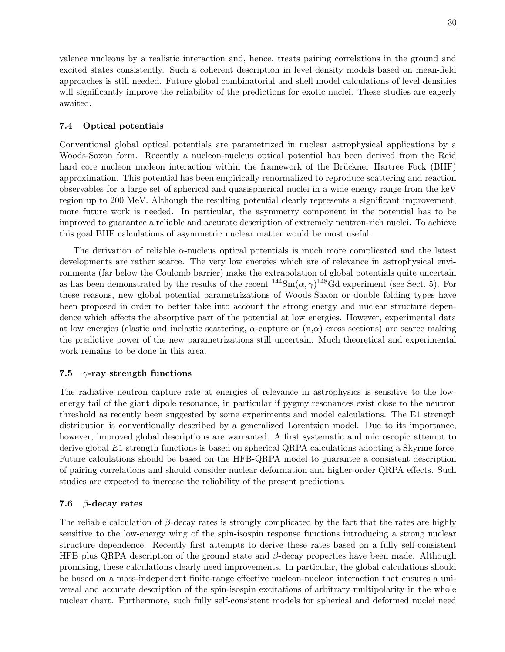valence nucleons by a realistic interaction and, hence, treats pairing correlations in the ground and excited states consistently. Such a coherent description in level density models based on mean-field approaches is still needed. Future global combinatorial and shell model calculations of level densities will significantly improve the reliability of the predictions for exotic nuclei. These studies are eagerly awaited.

# 7.4 Optical potentials

Conventional global optical potentials are parametrized in nuclear astrophysical applications by a Woods-Saxon form. Recently a nucleon-nucleus optical potential has been derived from the Reid hard core nucleon–nucleon interaction within the framework of the Brückner–Hartree–Fock (BHF) approximation. This potential has been empirically renormalized to reproduce scattering and reaction observables for a large set of spherical and quasispherical nuclei in a wide energy range from the keV region up to 200 MeV. Although the resulting potential clearly represents a significant improvement, more future work is needed. In particular, the asymmetry component in the potential has to be improved to guarantee a reliable and accurate description of extremely neutron-rich nuclei. To achieve this goal BHF calculations of asymmetric nuclear matter would be most useful.

The derivation of reliable  $\alpha$ -nucleus optical potentials is much more complicated and the latest developments are rather scarce. The very low energies which are of relevance in astrophysical environments (far below the Coulomb barrier) make the extrapolation of global potentials quite uncertain as has been demonstrated by the results of the recent  $^{144}Sm(\alpha, \gamma)^{148}Gd$  experiment (see Sect. 5). For these reasons, new global potential parametrizations of Woods-Saxon or double folding types have been proposed in order to better take into account the strong energy and nuclear structure dependence which affects the absorptive part of the potential at low energies. However, experimental data at low energies (elastic and inelastic scattering,  $\alpha$ -capture or  $(n,\alpha)$  cross sections) are scarce making the predictive power of the new parametrizations still uncertain. Much theoretical and experimental work remains to be done in this area.

# 7.5  $\gamma$ -ray strength functions

The radiative neutron capture rate at energies of relevance in astrophysics is sensitive to the lowenergy tail of the giant dipole resonance, in particular if pygmy resonances exist close to the neutron threshold as recently been suggested by some experiments and model calculations. The E1 strength distribution is conventionally described by a generalized Lorentzian model. Due to its importance, however, improved global descriptions are warranted. A first systematic and microscopic attempt to derive global E1-strength functions is based on spherical QRPA calculations adopting a Skyrme force. Future calculations should be based on the HFB-QRPA model to guarantee a consistent description of pairing correlations and should consider nuclear deformation and higher-order QRPA effects. Such studies are expected to increase the reliability of the present predictions.

# 7.6  $\beta$ -decay rates

The reliable calculation of  $\beta$ -decay rates is strongly complicated by the fact that the rates are highly sensitive to the low-energy wing of the spin-isospin response functions introducing a strong nuclear structure dependence. Recently first attempts to derive these rates based on a fully self-consistent HFB plus QRPA description of the ground state and  $\beta$ -decay properties have been made. Although promising, these calculations clearly need improvements. In particular, the global calculations should be based on a mass-independent finite-range effective nucleon-nucleon interaction that ensures a universal and accurate description of the spin-isospin excitations of arbitrary multipolarity in the whole nuclear chart. Furthermore, such fully self-consistent models for spherical and deformed nuclei need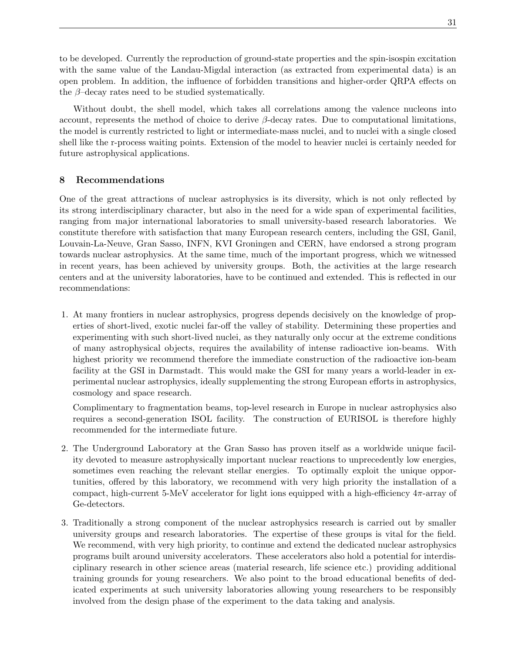to be developed. Currently the reproduction of ground-state properties and the spin-isospin excitation with the same value of the Landau-Migdal interaction (as extracted from experimental data) is an open problem. In addition, the influence of forbidden transitions and higher-order QRPA effects on the  $\beta$ –decay rates need to be studied systematically.

Without doubt, the shell model, which takes all correlations among the valence nucleons into account, represents the method of choice to derive  $\beta$ -decay rates. Due to computational limitations, the model is currently restricted to light or intermediate-mass nuclei, and to nuclei with a single closed shell like the r-process waiting points. Extension of the model to heavier nuclei is certainly needed for future astrophysical applications.

# 8 Recommendations

One of the great attractions of nuclear astrophysics is its diversity, which is not only reflected by its strong interdisciplinary character, but also in the need for a wide span of experimental facilities, ranging from major international laboratories to small university-based research laboratories. We constitute therefore with satisfaction that many European research centers, including the GSI, Ganil, Louvain-La-Neuve, Gran Sasso, INFN, KVI Groningen and CERN, have endorsed a strong program towards nuclear astrophysics. At the same time, much of the important progress, which we witnessed in recent years, has been achieved by university groups. Both, the activities at the large research centers and at the university laboratories, have to be continued and extended. This is reflected in our recommendations:

1. At many frontiers in nuclear astrophysics, progress depends decisively on the knowledge of properties of short-lived, exotic nuclei far-off the valley of stability. Determining these properties and experimenting with such short-lived nuclei, as they naturally only occur at the extreme conditions of many astrophysical objects, requires the availability of intense radioactive ion-beams. With highest priority we recommend therefore the immediate construction of the radioactive ion-beam facility at the GSI in Darmstadt. This would make the GSI for many years a world-leader in experimental nuclear astrophysics, ideally supplementing the strong European efforts in astrophysics, cosmology and space research.

Complimentary to fragmentation beams, top-level research in Europe in nuclear astrophysics also requires a second-generation ISOL facility. The construction of EURISOL is therefore highly recommended for the intermediate future.

- 2. The Underground Laboratory at the Gran Sasso has proven itself as a worldwide unique facility devoted to measure astrophysically important nuclear reactions to unprecedently low energies, sometimes even reaching the relevant stellar energies. To optimally exploit the unique opportunities, offered by this laboratory, we recommend with very high priority the installation of a compact, high-current 5-MeV accelerator for light ions equipped with a high-efficiency  $4\pi$ -array of Ge-detectors.
- 3. Traditionally a strong component of the nuclear astrophysics research is carried out by smaller university groups and research laboratories. The expertise of these groups is vital for the field. We recommend, with very high priority, to continue and extend the dedicated nuclear astrophysics programs built around university accelerators. These accelerators also hold a potential for interdisciplinary research in other science areas (material research, life science etc.) providing additional training grounds for young researchers. We also point to the broad educational benefits of dedicated experiments at such university laboratories allowing young researchers to be responsibly involved from the design phase of the experiment to the data taking and analysis.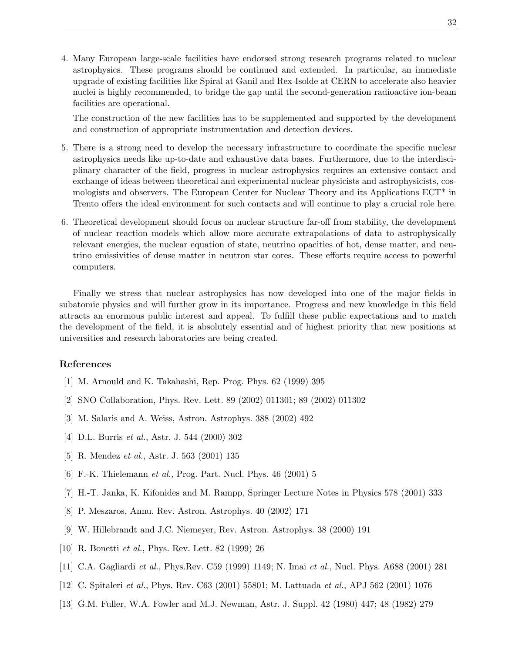4. Many European large-scale facilities have endorsed strong research programs related to nuclear astrophysics. These programs should be continued and extended. In particular, an immediate upgrade of existing facilities like Spiral at Ganil and Rex-Isolde at CERN to accelerate also heavier nuclei is highly recommended, to bridge the gap until the second-generation radioactive ion-beam facilities are operational.

The construction of the new facilities has to be supplemented and supported by the development and construction of appropriate instrumentation and detection devices.

- 5. There is a strong need to develop the necessary infrastructure to coordinate the specific nuclear astrophysics needs like up-to-date and exhaustive data bases. Furthermore, due to the interdisciplinary character of the field, progress in nuclear astrophysics requires an extensive contact and exchange of ideas between theoretical and experimental nuclear physicists and astrophysicists, cosmologists and observers. The European Center for Nuclear Theory and its Applications ECT\* in Trento offers the ideal environment for such contacts and will continue to play a crucial role here.
- 6. Theoretical development should focus on nuclear structure far-off from stability, the development of nuclear reaction models which allow more accurate extrapolations of data to astrophysically relevant energies, the nuclear equation of state, neutrino opacities of hot, dense matter, and neutrino emissivities of dense matter in neutron star cores. These efforts require access to powerful computers.

Finally we stress that nuclear astrophysics has now developed into one of the major fields in subatomic physics and will further grow in its importance. Progress and new knowledge in this field attracts an enormous public interest and appeal. To fulfill these public expectations and to match the development of the field, it is absolutely essential and of highest priority that new positions at universities and research laboratories are being created.

# References

- [1] M. Arnould and K. Takahashi, Rep. Prog. Phys. 62 (1999) 395
- [2] SNO Collaboration, Phys. Rev. Lett. 89 (2002) 011301; 89 (2002) 011302
- [3] M. Salaris and A. Weiss, Astron. Astrophys. 388 (2002) 492
- [4] D.L. Burris et al., Astr. J. 544 (2000) 302
- [5] R. Mendez et al., Astr. J. 563 (2001) 135
- [6] F.-K. Thielemann et al., Prog. Part. Nucl. Phys. 46 (2001) 5
- [7] H.-T. Janka, K. Kifonides and M. Rampp, Springer Lecture Notes in Physics 578 (2001) 333
- [8] P. Meszaros, Annu. Rev. Astron. Astrophys. 40 (2002) 171
- [9] W. Hillebrandt and J.C. Niemeyer, Rev. Astron. Astrophys. 38 (2000) 191
- [10] R. Bonetti et al., Phys. Rev. Lett. 82 (1999) 26
- [11] C.A. Gagliardi et al., Phys.Rev. C59 (1999) 1149; N. Imai et al., Nucl. Phys. A688 (2001) 281
- [12] C. Spitaleri et al., Phys. Rev. C63 (2001) 55801; M. Lattuada et al., APJ 562 (2001) 1076
- [13] G.M. Fuller, W.A. Fowler and M.J. Newman, Astr. J. Suppl. 42 (1980) 447; 48 (1982) 279